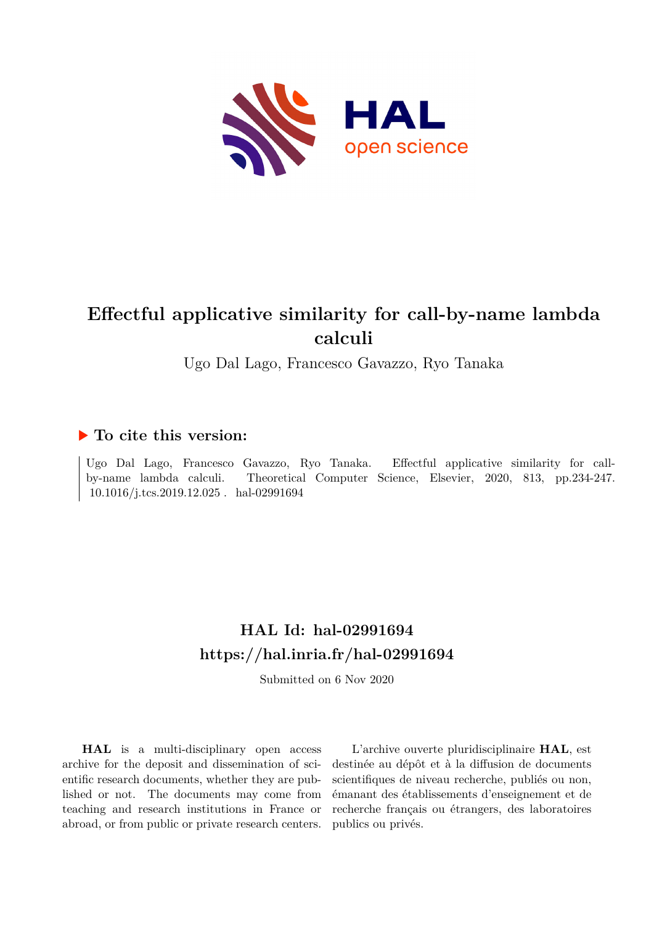

# **Effectful applicative similarity for call-by-name lambda calculi**

Ugo Dal Lago, Francesco Gavazzo, Ryo Tanaka

## **To cite this version:**

Ugo Dal Lago, Francesco Gavazzo, Ryo Tanaka. Effectful applicative similarity for callby-name lambda calculi. Theoretical Computer Science, Elsevier, 2020, 813, pp.234-247.  $10.1016/j.tcs.2019.12.025$ . hal-02991694

# **HAL Id: hal-02991694 <https://hal.inria.fr/hal-02991694>**

Submitted on 6 Nov 2020

**HAL** is a multi-disciplinary open access archive for the deposit and dissemination of scientific research documents, whether they are published or not. The documents may come from teaching and research institutions in France or abroad, or from public or private research centers.

L'archive ouverte pluridisciplinaire **HAL**, est destinée au dépôt et à la diffusion de documents scientifiques de niveau recherche, publiés ou non, émanant des établissements d'enseignement et de recherche français ou étrangers, des laboratoires publics ou privés.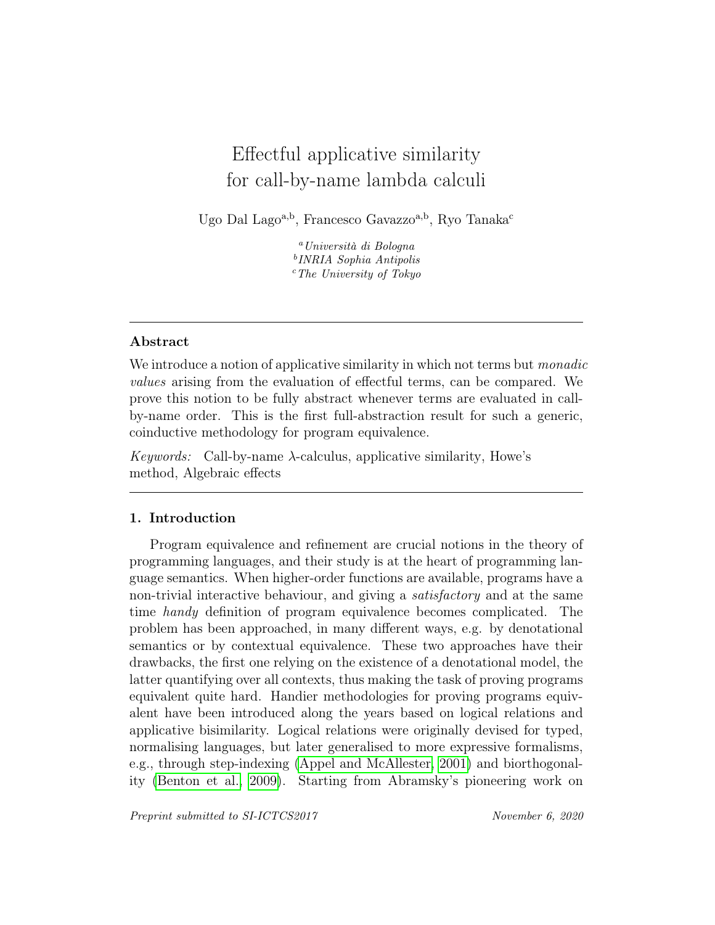# Effectful applicative similarity for call-by-name lambda calculi

Ugo Dal Lago<sup>a,b</sup>, Francesco Gavazzo<sup>a,b</sup>, Ryo Tanaka<sup>c</sup>

<sup>a</sup>Università di Bologna b INRIA Sophia Antipolis  $c$ <sup>c</sup>The University of Tokyo

### Abstract

We introduce a notion of applicative similarity in which not terms but *monadic* values arising from the evaluation of effectful terms, can be compared. We prove this notion to be fully abstract whenever terms are evaluated in callby-name order. This is the first full-abstraction result for such a generic, coinductive methodology for program equivalence.

Keywords: Call-by-name  $\lambda$ -calculus, applicative similarity, Howe's method, Algebraic effects

### 1. Introduction

Program equivalence and refinement are crucial notions in the theory of programming languages, and their study is at the heart of programming language semantics. When higher-order functions are available, programs have a non-trivial interactive behaviour, and giving a satisfactory and at the same time handy definition of program equivalence becomes complicated. The problem has been approached, in many different ways, e.g. by denotational semantics or by contextual equivalence. These two approaches have their drawbacks, the first one relying on the existence of a denotational model, the latter quantifying over all contexts, thus making the task of proving programs equivalent quite hard. Handier methodologies for proving programs equivalent have been introduced along the years based on logical relations and applicative bisimilarity. Logical relations were originally devised for typed, normalising languages, but later generalised to more expressive formalisms, e.g., through step-indexing (Appel and McAllester, 2001) and biorthogonality (Benton et al., 2009). Starting from Abramsky's pioneering work on

Preprint submitted to SI-ICTCS2017 November 6, 2020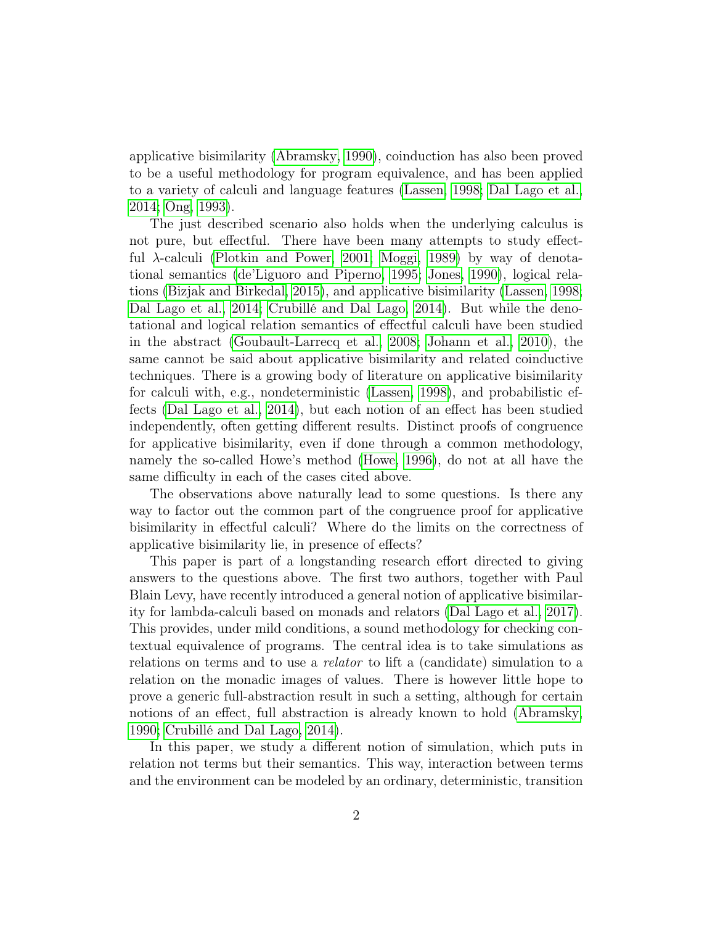applicative bisimilarity (Abramsky, 1990), coinduction has also been proved to be a useful methodology for program equivalence, and has been applied to a variety of calculi and language features (Lassen, 1998; Dal Lago et al., 2014; Ong, 1993).

The just described scenario also holds when the underlying calculus is not pure, but effectful. There have been many attempts to study effectful  $\lambda$ -calculi (Plotkin and Power, 2001; Moggi, 1989) by way of denotational semantics (de'Liguoro and Piperno, 1995; Jones, 1990), logical relations (Bizjak and Birkedal, 2015), and applicative bisimilarity (Lassen, 1998; Dal Lago et al., 2014; Crubillé and Dal Lago, 2014). But while the denotational and logical relation semantics of effectful calculi have been studied in the abstract (Goubault-Larrecq et al., 2008; Johann et al., 2010), the same cannot be said about applicative bisimilarity and related coinductive techniques. There is a growing body of literature on applicative bisimilarity for calculi with, e.g., nondeterministic (Lassen, 1998), and probabilistic effects (Dal Lago et al., 2014), but each notion of an effect has been studied independently, often getting different results. Distinct proofs of congruence for applicative bisimilarity, even if done through a common methodology, namely the so-called Howe's method (Howe, 1996), do not at all have the same difficulty in each of the cases cited above.

The observations above naturally lead to some questions. Is there any way to factor out the common part of the congruence proof for applicative bisimilarity in effectful calculi? Where do the limits on the correctness of applicative bisimilarity lie, in presence of effects?

This paper is part of a longstanding research effort directed to giving answers to the questions above. The first two authors, together with Paul Blain Levy, have recently introduced a general notion of applicative bisimilarity for lambda-calculi based on monads and relators (Dal Lago et al., 2017). This provides, under mild conditions, a sound methodology for checking contextual equivalence of programs. The central idea is to take simulations as relations on terms and to use a relator to lift a (candidate) simulation to a relation on the monadic images of values. There is however little hope to prove a generic full-abstraction result in such a setting, although for certain notions of an effect, full abstraction is already known to hold (Abramsky, 1990; Crubillé and Dal Lago, 2014).

In this paper, we study a different notion of simulation, which puts in relation not terms but their semantics. This way, interaction between terms and the environment can be modeled by an ordinary, deterministic, transition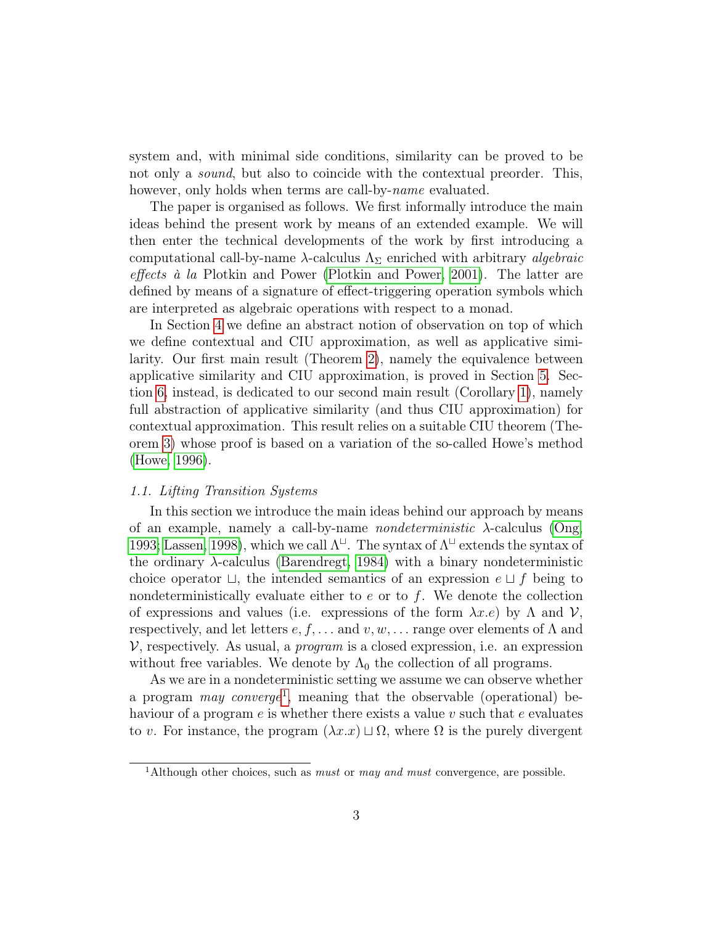system and, with minimal side conditions, similarity can be proved to be not only a *sound*, but also to coincide with the contextual preorder. This, however, only holds when terms are call-by-*name* evaluated.

The paper is organised as follows. We first informally introduce the main ideas behind the present work by means of an extended example. We will then enter the technical developments of the work by first introducing a computational call-by-name  $\lambda$ -calculus  $\Lambda_{\Sigma}$  enriched with arbitrary *algebraic* effects à la Plotkin and Power (Plotkin and Power, 2001). The latter are defined by means of a signature of effect-triggering operation symbols which are interpreted as algebraic operations with respect to a monad.

In Section 4 we define an abstract notion of observation on top of which we define contextual and CIU approximation, as well as applicative similarity. Our first main result (Theorem 2), namely the equivalence between applicative similarity and CIU approximation, is proved in Section 5. Section 6, instead, is dedicated to our second main result (Corollary 1), namely full abstraction of applicative similarity (and thus CIU approximation) for contextual approximation. This result relies on a suitable CIU theorem (Theorem 3) whose proof is based on a variation of the so-called Howe's method (Howe, 1996).

#### 1.1. Lifting Transition Systems

In this section we introduce the main ideas behind our approach by means of an example, namely a call-by-name *nondeterministic*  $\lambda$ -calculus (Ong, 1993; Lassen, 1998), which we call  $\Lambda^{\sqcup}$ . The syntax of  $\Lambda^{\sqcup}$  extends the syntax of the ordinary  $\lambda$ -calculus (Barendregt, 1984) with a binary nondeterministic choice operator  $\sqcup$ , the intended semantics of an expression  $e \sqcup f$  being to nondeterministically evaluate either to  $e$  or to  $f$ . We denote the collection of expressions and values (i.e. expressions of the form  $\lambda x.e$ ) by  $\Lambda$  and  $\mathcal{V}$ , respectively, and let letters  $e, f, \ldots$  and  $v, w, \ldots$  range over elements of  $\Lambda$  and  $V$ , respectively. As usual, a *program* is a closed expression, i.e. an expression without free variables. We denote by  $\Lambda_0$  the collection of all programs.

As we are in a nondeterministic setting we assume we can observe whether a program *may converge*<sup>1</sup>, meaning that the observable (operational) behaviour of a program  $e$  is whether there exists a value v such that e evaluates to v. For instance, the program  $(\lambda x.x) \sqcup \Omega$ , where  $\Omega$  is the purely divergent

<sup>&</sup>lt;sup>1</sup>Although other choices, such as *must* or *may and must* convergence, are possible.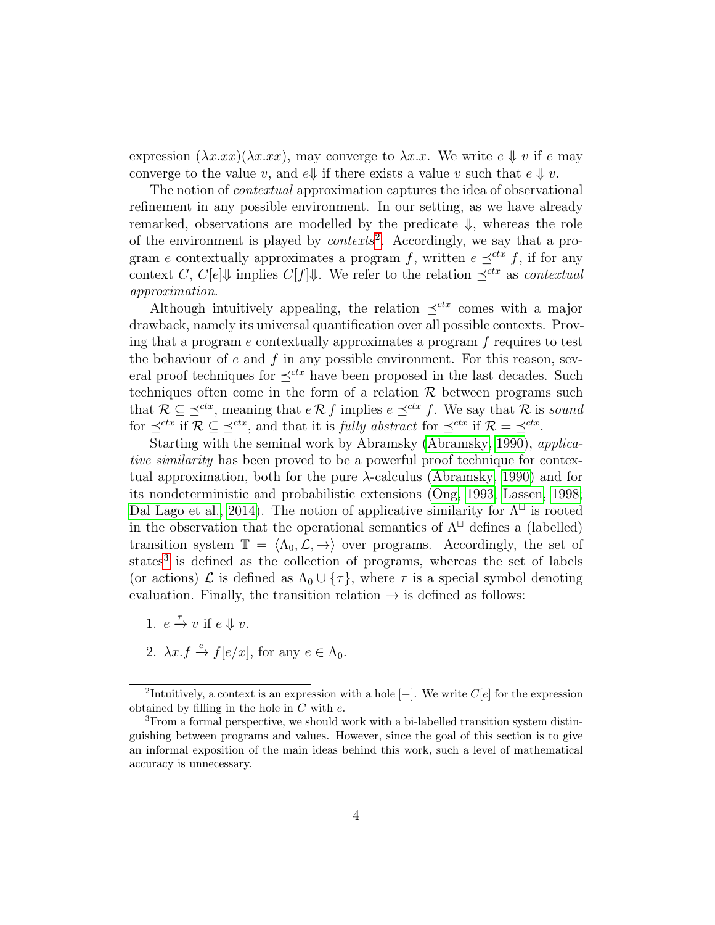expression  $(\lambda x.xx)(\lambda x.xx)$ , may converge to  $\lambda x.xx$ . We write  $e \Downarrow v$  if e may converge to the value v, and  $e \downarrow \downarrow$  if there exists a value v such that  $e \downarrow v$ .

The notion of *contextual* approximation captures the idea of observational refinement in any possible environment. In our setting, as we have already remarked, observations are modelled by the predicate  $\Downarrow$ , whereas the role of the environment is played by *contexts*<sup>2</sup>. Accordingly, we say that a program e contextually approximates a program f, written  $e \preceq^{ctx} f$ , if for any context C, C[e] $\Downarrow$  implies C[f] $\Downarrow$ . We refer to the relation  $\preceq^{ctx}$  as contextual approximation.

Although intuitively appealing, the relation  $\preceq^{ctx}$  comes with a major drawback, namely its universal quantification over all possible contexts. Proving that a program  $e$  contextually approximates a program  $f$  requires to test the behaviour of  $e$  and  $f$  in any possible environment. For this reason, several proof techniques for  $\preceq^{ctx}$  have been proposed in the last decades. Such techniques often come in the form of a relation  $\mathcal R$  between programs such that  $\mathcal{R} \subseteq \preceq^{ctx}$ , meaning that  $e \mathcal{R} f$  implies  $e \preceq^{ctx} f$ . We say that  $\mathcal{R}$  is sound for  $\preceq^{ctx}$  if  $\mathcal{R} \subseteq \preceq^{ctx}$ , and that it is *fully abstract* for  $\preceq^{ctx}$  if  $\mathcal{R} = \preceq^{ctx}$ .

Starting with the seminal work by Abramsky (Abramsky, 1990), applicative similarity has been proved to be a powerful proof technique for contextual approximation, both for the pure λ-calculus (Abramsky, 1990) and for its nondeterministic and probabilistic extensions (Ong, 1993; Lassen, 1998; Dal Lago et al., 2014). The notion of applicative similarity for  $\Lambda^{\sqcup}$  is rooted in the observation that the operational semantics of  $\Lambda^{\sqcup}$  defines a (labelled) transition system  $\mathbb{T} = \langle \Lambda_0, \mathcal{L}, \to \rangle$  over programs. Accordingly, the set of states<sup>3</sup> is defined as the collection of programs, whereas the set of labels (or actions)  $\mathcal L$  is defined as  $\Lambda_0 \cup {\tau}$ , where  $\tau$  is a special symbol denoting evaluation. Finally, the transition relation  $\rightarrow$  is defined as follows:

- 1.  $e \stackrel{\tau}{\rightarrow} v$  if  $e \Downarrow v$ .
- 2.  $\lambda x.f \xrightarrow{e} f[e/x]$ , for any  $e \in \Lambda_0$ .

<sup>&</sup>lt;sup>2</sup>Intuitively, a context is an expression with a hole  $[-]$ . We write  $C[e]$  for the expression obtained by filling in the hole in  $C$  with  $e$ .

<sup>&</sup>lt;sup>3</sup>From a formal perspective, we should work with a bi-labelled transition system distinguishing between programs and values. However, since the goal of this section is to give an informal exposition of the main ideas behind this work, such a level of mathematical accuracy is unnecessary.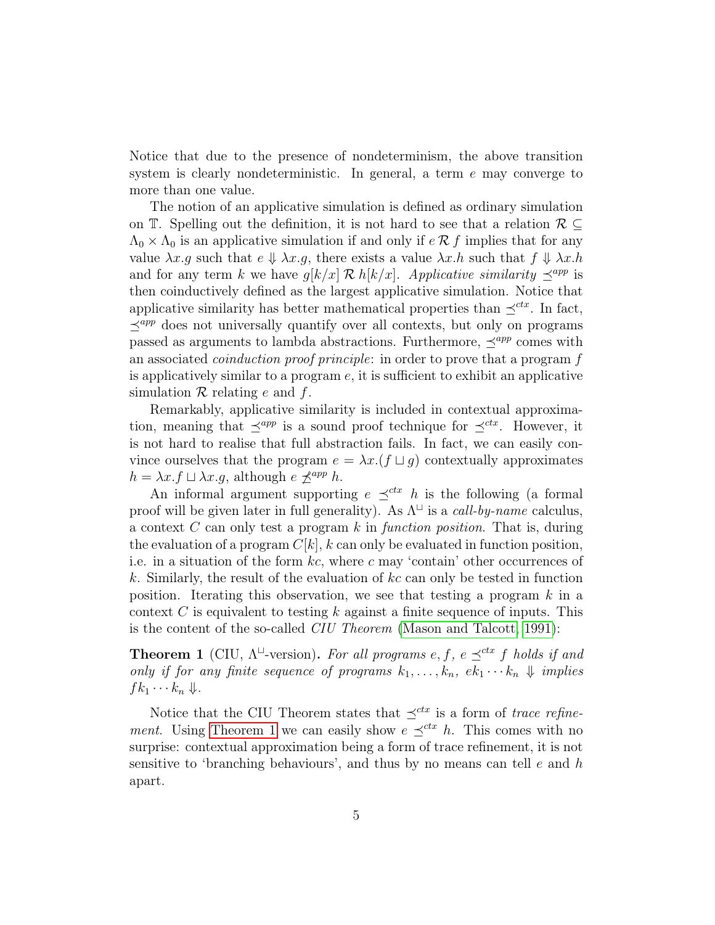Notice that due to the presence of nondeterminism, the above transition system is clearly nondeterministic. In general, a term  $e$  may converge to more than one value.

The notion of an applicative simulation is defined as ordinary simulation on T. Spelling out the definition, it is not hard to see that a relation  $\mathcal{R} \subseteq$  $\Lambda_0 \times \Lambda_0$  is an applicative simulation if and only if  $\epsilon \mathcal{R} f$  implies that for any value  $\lambda x.g$  such that  $e \Downarrow \lambda x.g$ , there exists a value  $\lambda x.h$  such that  $f \Downarrow \lambda x.h$ and for any term k we have  $g[k/x] \mathcal{R} h[k/x]$ . Applicative similarity  $\preceq^{app}$  is then coinductively defined as the largest applicative simulation. Notice that applicative similarity has better mathematical properties than  $\preceq^{ctx}$ . In fact,  $\prec^{app}$  does not universally quantify over all contexts, but only on programs passed as arguments to lambda abstractions. Furthermore,  $\prec^{app}$  comes with an associated coinduction proof principle: in order to prove that a program f is applicatively similar to a program  $e$ , it is sufficient to exhibit an applicative simulation  $\mathcal R$  relating e and f.

Remarkably, applicative similarity is included in contextual approximation, meaning that  $\preceq^{app}$  is a sound proof technique for  $\preceq^{ctx}$ . However, it is not hard to realise that full abstraction fails. In fact, we can easily convince ourselves that the program  $e = \lambda x. (f \sqcup g)$  contextually approximates  $h = \lambda x.f \sqcup \lambda x.q$ , although  $e \nprec^{app} h$ .

An informal argument supporting  $e \preceq^{ctx} h$  is the following (a formal proof will be given later in full generality). As  $\Lambda^{\sqcup}$  is a *call-by-name* calculus, a context  $C$  can only test a program  $k$  in function position. That is, during the evaluation of a program  $C[k]$ , k can only be evaluated in function position, i.e. in a situation of the form  $kc$ , where c may 'contain' other occurrences of k. Similarly, the result of the evaluation of  $kc$  can only be tested in function position. Iterating this observation, we see that testing a program  $k$  in a context C is equivalent to testing k against a finite sequence of inputs. This is the content of the so-called CIU Theorem (Mason and Talcott, 1991):

**Theorem 1** (CIU,  $\Lambda^{\sqcup}$ -version). For all programs e, f, e  $\preceq^{ctx}$  f holds if and only if for any finite sequence of programs  $k_1, \ldots, k_n$ ,  $ek_1 \cdots k_n \Downarrow$  implies  $fk_1 \cdots k_n \Downarrow$ .

Notice that the CIU Theorem states that  $\preceq^{ctx}$  is a form of trace refinement. Using Theorem 1 we can easily show  $e \prec^{ctx} h$ . This comes with no surprise: contextual approximation being a form of trace refinement, it is not sensitive to 'branching behaviours', and thus by no means can tell  $e$  and  $h$ apart.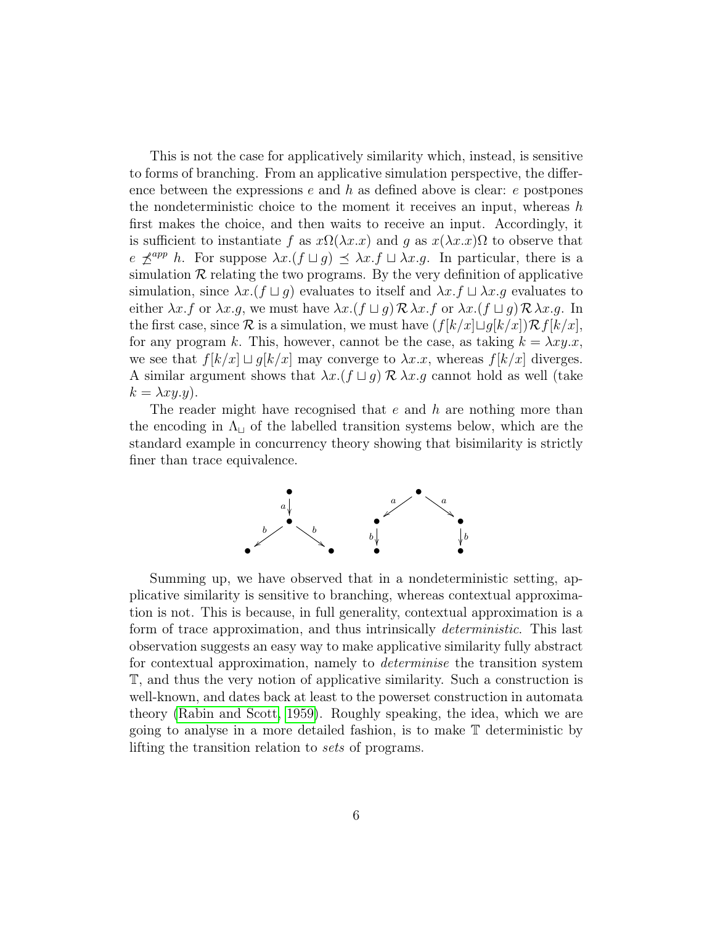This is not the case for applicatively similarity which, instead, is sensitive to forms of branching. From an applicative simulation perspective, the difference between the expressions  $e$  and  $h$  as defined above is clear:  $e$  postpones the nondeterministic choice to the moment it receives an input, whereas  $h$ first makes the choice, and then waits to receive an input. Accordingly, it is sufficient to instantiate f as  $x\Omega(\lambda x.x)$  and g as  $x(\lambda x.x)\Omega$  to observe that  $e \npreceq^{app} h$ . For suppose  $\lambda x.(f \sqcup g) \preceq \lambda x.f \sqcup \lambda x.g.$  In particular, there is a simulation  $\mathcal R$  relating the two programs. By the very definition of applicative simulation, since  $\lambda x.(f \sqcup g)$  evaluates to itself and  $\lambda x.f \sqcup \lambda x.g$  evaluates to either  $\lambda x.f$  or  $\lambda x.g$ , we must have  $\lambda x.(f \sqcup g) \mathcal{R} \lambda x.f$  or  $\lambda x.(f \sqcup g) \mathcal{R} \lambda x.g$ . In the first case, since  $\mathcal R$  is a simulation, we must have  $(f[k/x]\sqcup g[k/x])\mathcal R f[k/x],$ for any program k. This, however, cannot be the case, as taking  $k = \lambda xy.x$ , we see that  $f[k/x] \sqcup g[k/x]$  may converge to  $\lambda x.x$ , whereas  $f[k/x]$  diverges. A similar argument shows that  $\lambda x. (f \sqcup g) \mathcal{R} \lambda x. g$  cannot hold as well (take  $k = \lambda xy.y$ ).

The reader might have recognised that  $e$  and  $h$  are nothing more than the encoding in  $\Lambda_{\sqcup}$  of the labelled transition systems below, which are the standard example in concurrency theory showing that bisimilarity is strictly finer than trace equivalence.



Summing up, we have observed that in a nondeterministic setting, applicative similarity is sensitive to branching, whereas contextual approximation is not. This is because, in full generality, contextual approximation is a form of trace approximation, and thus intrinsically deterministic. This last observation suggests an easy way to make applicative similarity fully abstract for contextual approximation, namely to determinise the transition system T, and thus the very notion of applicative similarity. Such a construction is well-known, and dates back at least to the powerset construction in automata theory (Rabin and Scott, 1959). Roughly speaking, the idea, which we are going to analyse in a more detailed fashion, is to make T deterministic by lifting the transition relation to sets of programs.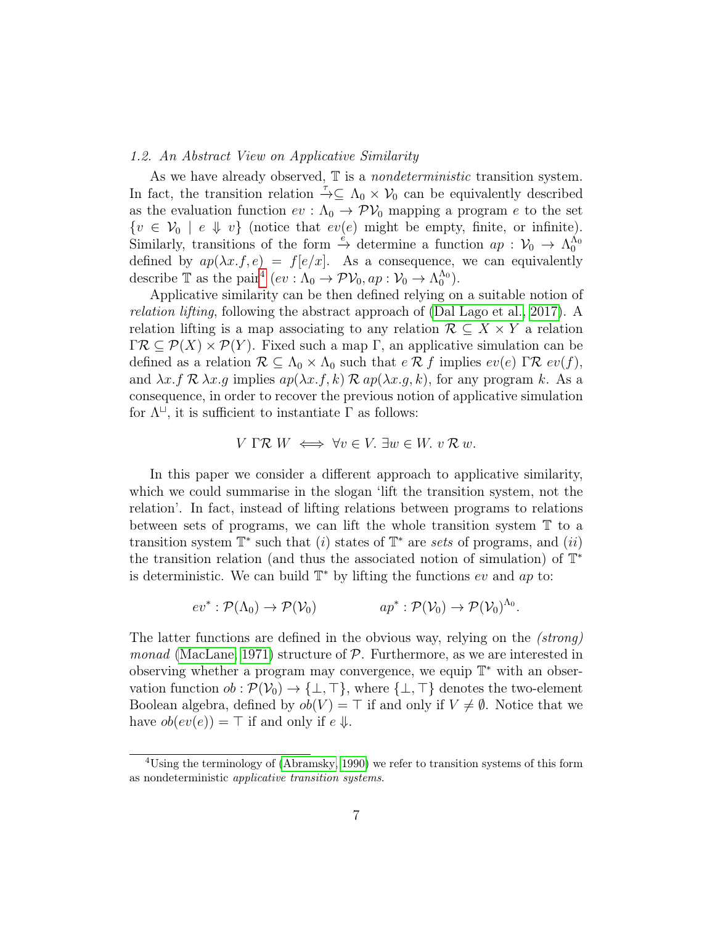#### 1.2. An Abstract View on Applicative Similarity

As we have already observed,  $\mathbb T$  is a *nondeterministic* transition system. In fact, the transition relation  $\bar{\rightarrow} \subseteq \Lambda_0 \times V_0$  can be equivalently described as the evaluation function  $ev : \Lambda_0 \to \mathcal{PV}_0$  mapping a program e to the set  $\{v \in V_0 \mid e \Downarrow v\}$  (notice that  $ev(e)$  might be empty, finite, or infinite). Similarly, transitions of the form  $\stackrel{e}{\to}$  determine a function  $ap: \mathcal{V}_0 \to \Lambda_0^{\Lambda_0}$ defined by  $ap(\lambda x.f,e) = f[e/x]$ . As a consequence, we can equivalently describe T as the pair<sup>4</sup>  $(ev: \Lambda_0 \to \mathcal{PV}_0, ap: \mathcal{V}_0 \to \Lambda_0^{\Lambda_0}).$ 

Applicative similarity can be then defined relying on a suitable notion of relation lifting, following the abstract approach of (Dal Lago et al., 2017). A relation lifting is a map associating to any relation  $\mathcal{R} \subseteq X \times Y$  a relation  $\Gamma \mathcal{R} \subseteq \mathcal{P}(X) \times \mathcal{P}(Y)$ . Fixed such a map  $\Gamma$ , an applicative simulation can be defined as a relation  $\mathcal{R} \subseteq \Lambda_0 \times \Lambda_0$  such that  $e \mathcal{R} f$  implies  $ev(e) \Gamma \mathcal{R} ev(f)$ , and  $\lambda x.f \mathcal{R} \lambda x.g$  implies  $ap(\lambda x.f,k) \mathcal{R} ap(\lambda x.g,k)$ , for any program k. As a consequence, in order to recover the previous notion of applicative simulation for  $\Lambda^{\sqcup}$ , it is sufficient to instantiate  $\Gamma$  as follows:

$$
V \Gamma \mathcal{R} \ W \iff \forall v \in V. \ \exists w \in W. \ v \mathcal{R} \ w.
$$

In this paper we consider a different approach to applicative similarity, which we could summarise in the slogan 'lift the transition system, not the relation'. In fact, instead of lifting relations between programs to relations between sets of programs, we can lift the whole transition system T to a transition system  $\mathbb{T}^*$  such that  $(i)$  states of  $\mathbb{T}^*$  are sets of programs, and  $(ii)$ the transition relation (and thus the associated notion of simulation) of  $\mathbb{T}^*$ is deterministic. We can build  $\mathbb{T}^*$  by lifting the functions ev and ap to:

$$
ev^*: \mathcal{P}(\Lambda_0) \to \mathcal{P}(\mathcal{V}_0)
$$
  $ap^*: \mathcal{P}(\mathcal{V}_0) \to \mathcal{P}(\mathcal{V}_0)^{\Lambda_0}.$ 

The latter functions are defined in the obvious way, relying on the (strong) monad (MacLane, 1971) structure of  $P$ . Furthermore, as we are interested in observing whether a program may convergence, we equip  $\mathbb{T}^*$  with an observation function  $ob : \mathcal{P}(\mathcal{V}_0) \to {\perp, \top}$ , where  ${\perp, \top}$  denotes the two-element Boolean algebra, defined by  $ob(V) = \top$  if and only if  $V \neq \emptyset$ . Notice that we have  $ob(ev(e)) = \top$  if and only if  $e \Downarrow$ .

<sup>&</sup>lt;sup>4</sup>Using the terminology of (Abramsky, 1990) we refer to transition systems of this form as nondeterministic applicative transition systems.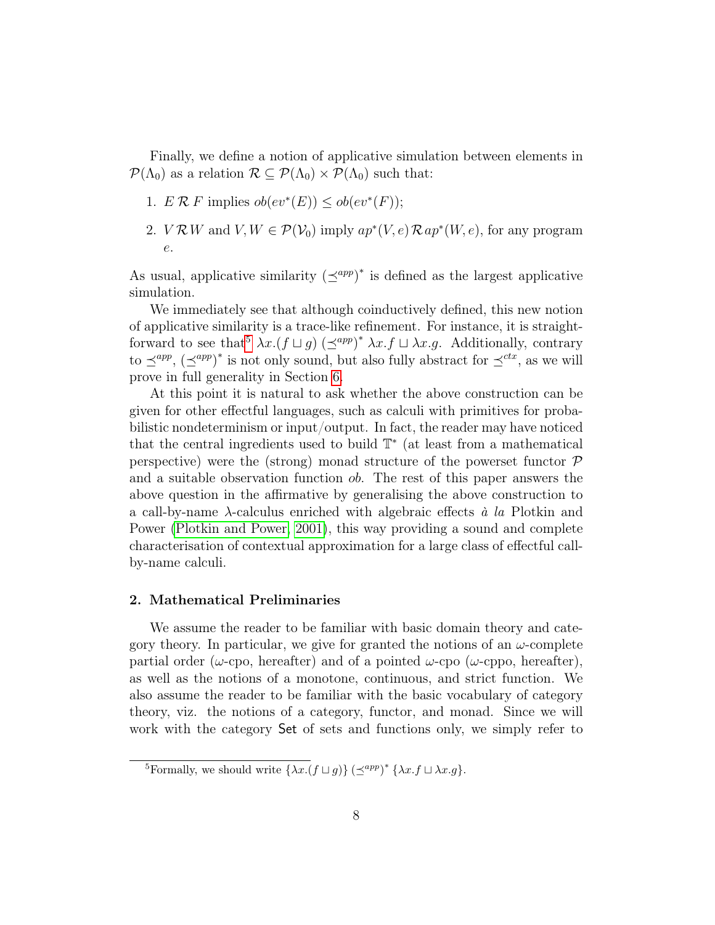Finally, we define a notion of applicative simulation between elements in  $\mathcal{P}(\Lambda_0)$  as a relation  $\mathcal{R} \subseteq \mathcal{P}(\Lambda_0) \times \mathcal{P}(\Lambda_0)$  such that:

- 1.  $E \mathcal{R} F$  implies  $ob(ev^*(E)) \leq ob(ev^*(F));$
- 2.  $V \mathcal{R} W$  and  $V, W \in \mathcal{P}(V_0)$  imply  $ap^*(V, e) \mathcal{R} ap^*(W, e)$ , for any program e.

As usual, applicative similarity  $(\preceq^{app})^*$  is defined as the largest applicative simulation.

We immediately see that although coinductively defined, this new notion of applicative similarity is a trace-like refinement. For instance, it is straightforward to see that<sup>5</sup>  $\lambda x. (f \sqcup g)$   $(\preceq^{app})^* \lambda x. f \sqcup \lambda x. g$ . Additionally, contrary to  $\preceq^{app}$ ,  $(\preceq^{app})^*$  is not only sound, but also fully abstract for  $\preceq^{ctx}$ , as we will prove in full generality in Section 6.

At this point it is natural to ask whether the above construction can be given for other effectful languages, such as calculi with primitives for probabilistic nondeterminism or input/output. In fact, the reader may have noticed that the central ingredients used to build  $\mathbb{T}^*$  (at least from a mathematical perspective) were the (strong) monad structure of the powerset functor  $P$ and a suitable observation function ob. The rest of this paper answers the above question in the affirmative by generalising the above construction to a call-by-name  $\lambda$ -calculus enriched with algebraic effects  $\dot{a}$  la Plotkin and Power (Plotkin and Power, 2001), this way providing a sound and complete characterisation of contextual approximation for a large class of effectful callby-name calculi.

#### 2. Mathematical Preliminaries

We assume the reader to be familiar with basic domain theory and category theory. In particular, we give for granted the notions of an  $\omega$ -complete partial order ( $\omega$ -cpo, hereafter) and of a pointed  $\omega$ -cpo ( $\omega$ -cppo, hereafter), as well as the notions of a monotone, continuous, and strict function. We also assume the reader to be familiar with the basic vocabulary of category theory, viz. the notions of a category, functor, and monad. Since we will work with the category Set of sets and functions only, we simply refer to

<sup>&</sup>lt;sup>5</sup>Formally, we should write  $\{\lambda x.(f \sqcup g)\} (\preceq^{app})^* \{\lambda x.f \sqcup \lambda x.g\}.$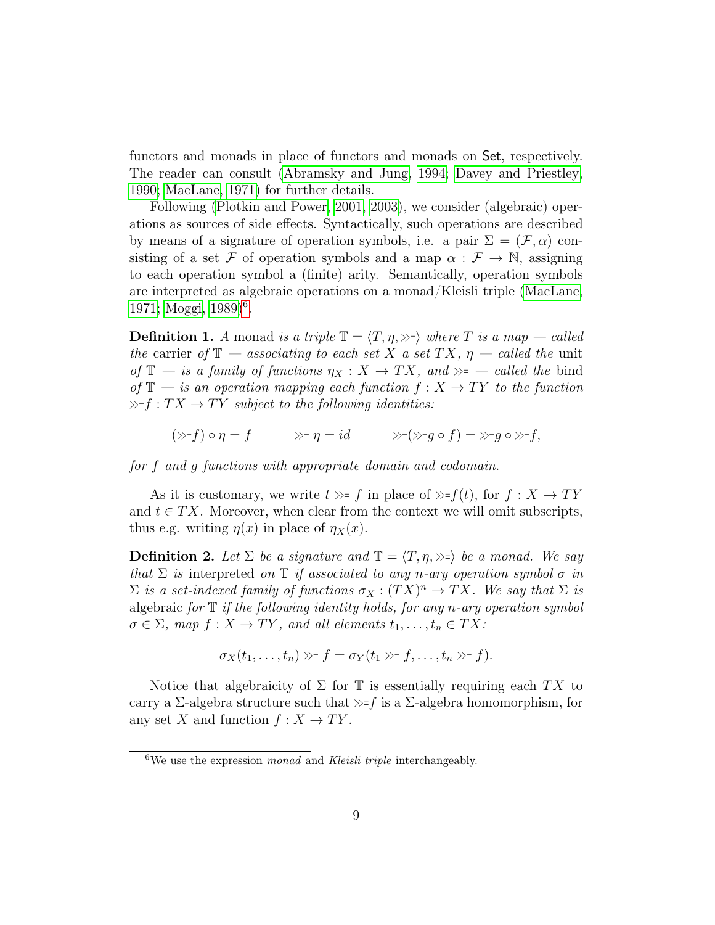functors and monads in place of functors and monads on Set, respectively. The reader can consult (Abramsky and Jung, 1994; Davey and Priestley, 1990; MacLane, 1971) for further details.

Following (Plotkin and Power, 2001, 2003), we consider (algebraic) operations as sources of side effects. Syntactically, such operations are described by means of a signature of operation symbols, i.e. a pair  $\Sigma = (\mathcal{F}, \alpha)$  consisting of a set F of operation symbols and a map  $\alpha : \mathcal{F} \to \mathbb{N}$ , assigning to each operation symbol a (finite) arity. Semantically, operation symbols are interpreted as algebraic operations on a monad/Kleisli triple (MacLane, 1971; Moggi, 1989)<sup>6</sup>.

**Definition 1.** A monad is a triple  $\mathbb{T} = \langle T, \eta, \rangle$  where T is a map — called the carrier of  $\mathbb{T}$  — associating to each set X a set TX,  $\eta$  — called the unit of  $\mathbb{T}$  — is a family of functions  $\eta_X : X \to TX$ , and  $\gg$  — called the bind of  $\mathbb{T}$  — is an operation mapping each function  $f: X \to TY$  to the function  $\gg f: TX \to TY$  subject to the following identities:

$$
(\gg=f)\circ \eta=f \qquad \gg=\eta=id \qquad \gg=(\gg=g\circ f)=\gg=g\circ\gg=f,
$$

for f and g functions with appropriate domain and codomain.

As it is customary, we write  $t \gg f$  in place of  $\gg f(t)$ , for  $f: X \to TY$ and  $t \in TX$ . Moreover, when clear from the context we will omit subscripts, thus e.g. writing  $\eta(x)$  in place of  $\eta_X(x)$ .

**Definition 2.** Let  $\Sigma$  be a signature and  $\mathbb{T} = \langle T, \eta, \rangle \gg \rangle$  be a monad. We say that  $\Sigma$  is interpreted on  $\mathbb T$  if associated to any n-ary operation symbol  $\sigma$  in  $\Sigma$  is a set-indexed family of functions  $\sigma_X : (TX)^n \to TX$ . We say that  $\Sigma$  is algebraic for  $\mathbb T$  if the following identity holds, for any n-ary operation symbol  $\sigma \in \Sigma$ , map  $f: X \to TY$ , and all elements  $t_1, \ldots, t_n \in TX$ :

$$
\sigma_X(t_1,\ldots,t_n)\gg f=\sigma_Y(t_1)\gg f,\ldots,t_n\gg f).
$$

Notice that algebraicity of  $\Sigma$  for  $\mathbb T$  is essentially requiring each TX to carry a  $\Sigma$ -algebra structure such that  $\gg$ -f is a  $\Sigma$ -algebra homomorphism, for any set X and function  $f: X \to TY$ .

 $6$ We use the expression *monad* and *Kleisli triple* interchangeably.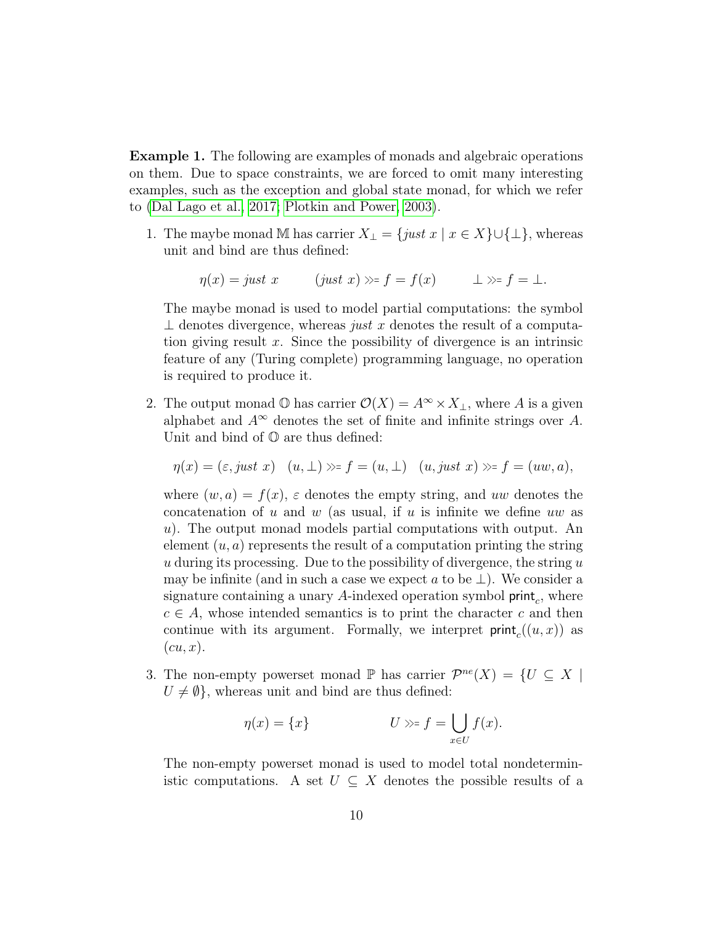Example 1. The following are examples of monads and algebraic operations on them. Due to space constraints, we are forced to omit many interesting examples, such as the exception and global state monad, for which we refer to (Dal Lago et al., 2017; Plotkin and Power, 2003).

1. The maybe monad M has carrier  $X_{\perp} = \{ just \ x \mid x \in X \} \cup \{\perp\}$ , whereas unit and bind are thus defined:

$$
\eta(x) = just \ x \qquad (just \ x) \gg f = f(x) \qquad \bot \gg f = \bot.
$$

The maybe monad is used to model partial computations: the symbol  $\perp$  denotes divergence, whereas just x denotes the result of a computation giving result x. Since the possibility of divergence is an intrinsic feature of any (Turing complete) programming language, no operation is required to produce it.

2. The output monad  $\mathbb{O}$  has carrier  $\mathcal{O}(X) = A^{\infty} \times X_{\perp}$ , where A is a given alphabet and  $A^{\infty}$  denotes the set of finite and infinite strings over A. Unit and bind of  $\mathbb O$  are thus defined:

$$
\eta(x)=(\varepsilon, just\ x)\quad (u,\bot)\gg f=(u,\bot)\quad (u, just\ x)\gg f=(uw,a),
$$

where  $(w, a) = f(x)$ ,  $\varepsilon$  denotes the empty string, and uw denotes the concatenation of u and w (as usual, if u is infinite we define uw as u). The output monad models partial computations with output. An element  $(u, a)$  represents the result of a computation printing the string u during its processing. Due to the possibility of divergence, the string  $u$ may be infinite (and in such a case we expect a to be  $\perp$ ). We consider a signature containing a unary A-indexed operation symbol  $\text{print}_c$ , where  $c \in A$ , whose intended semantics is to print the character c and then continue with its argument. Formally, we interpret  $\text{print}_c((u, x))$  as  $(cu, x)$ .

3. The non-empty powerset monad  $\mathbb P$  has carrier  $\mathcal P^{ne}(X) = \{U \subseteq X \mid$  $U \neq \emptyset$ , whereas unit and bind are thus defined:

$$
\eta(x) = \{x\} \qquad \qquad U \gg f = \bigcup_{x \in U} f(x).
$$

The non-empty powerset monad is used to model total nondeterministic computations. A set  $U \subseteq X$  denotes the possible results of a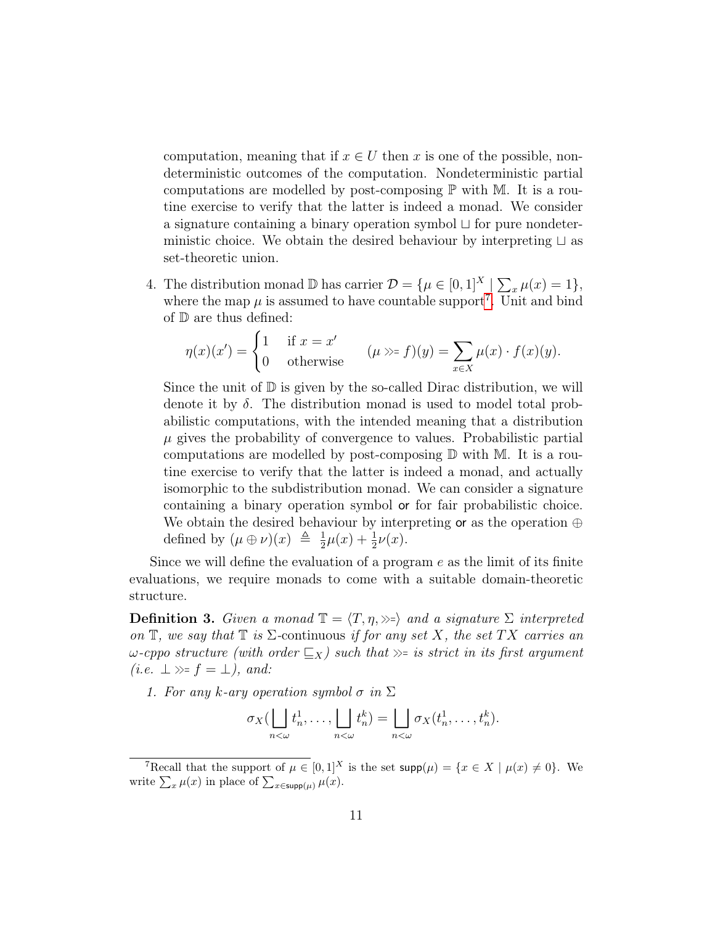computation, meaning that if  $x \in U$  then x is one of the possible, nondeterministic outcomes of the computation. Nondeterministic partial computations are modelled by post-composing  $\mathbb P$  with M. It is a routine exercise to verify that the latter is indeed a monad. We consider a signature containing a binary operation symbol  $\sqcup$  for pure nondeterministic choice. We obtain the desired behaviour by interpreting  $\sqcup$  as set-theoretic union.

4. The distribution monad  $\mathbb{D}$  has carrier  $\mathcal{D} = {\mu \in [0, 1]^X} \sum_x \mu(x) = 1},$ where the map  $\mu$  is assumed to have countable support<sup>7</sup>. Unit and bind of D are thus defined:

$$
\eta(x)(x') = \begin{cases} 1 & \text{if } x = x' \\ 0 & \text{otherwise} \end{cases} \qquad (\mu \gg f)(y) = \sum_{x \in X} \mu(x) \cdot f(x)(y).
$$

Since the unit of  $\mathbb D$  is given by the so-called Dirac distribution, we will denote it by  $\delta$ . The distribution monad is used to model total probabilistic computations, with the intended meaning that a distribution  $\mu$  gives the probability of convergence to values. Probabilistic partial computations are modelled by post-composing  $D$  with M. It is a routine exercise to verify that the latter is indeed a monad, and actually isomorphic to the subdistribution monad. We can consider a signature containing a binary operation symbol or for fair probabilistic choice. We obtain the desired behaviour by interpreting or as the operation ⊕ defined by  $(\mu \oplus \nu)(x) \triangleq \frac{1}{2}$  $\frac{1}{2}\mu(x) + \frac{1}{2}\nu(x)$ .

Since we will define the evaluation of a program  $e$  as the limit of its finite evaluations, we require monads to come with a suitable domain-theoretic structure.

**Definition 3.** Given a monad  $\mathbb{T} = \langle T, \eta, \rangle$  and a signature  $\Sigma$  interpreted on  $\mathbb{T}$ , we say that  $\mathbb{T}$  is  $\Sigma$ -continuous if for any set X, the set TX carries an  $\omega$ -cppo structure (with order  $\mathcal{F}_X$ ) such that  $\gg$  is strict in its first argument  $(i.e. \perp \gg f = \perp), and:$ 

1. For any k-ary operation symbol  $\sigma$  in  $\Sigma$ 

$$
\sigma_X(\bigsqcup_{n<\omega} t_n^1,\ldots,\bigsqcup_{n<\omega} t_n^k)=\bigsqcup_{n<\omega} \sigma_X(t_n^1,\ldots,t_n^k).
$$

<sup>&</sup>lt;sup>7</sup>Recall that the support of  $\mu \in [0,1]^X$  is the set  $\text{supp}(\mu) = \{x \in X \mid \mu(x) \neq 0\}$ . We write  $\sum_x \mu(x)$  in place of  $\sum_{x \in \text{supp}(\mu)} \mu(x)$ .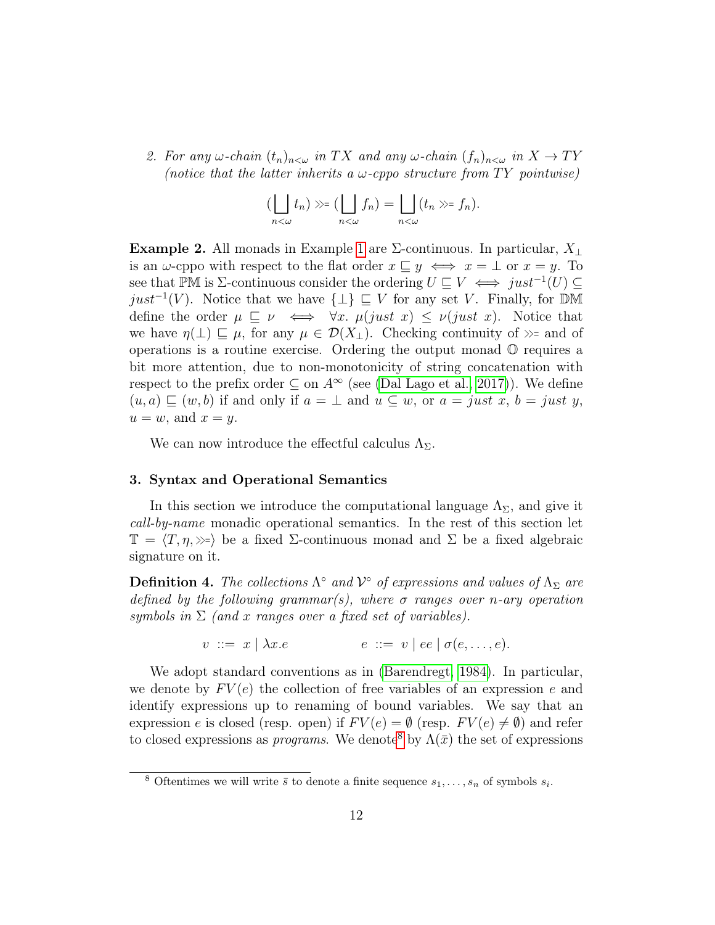2. For any  $\omega$ -chain  $(t_n)_{n<\omega}$  in TX and any  $\omega$ -chain  $(f_n)_{n<\omega}$  in  $X \to TY$ (notice that the latter inherits a  $\omega$ -cppo structure from TY pointwise)

$$
(\bigsqcup_{n<\omega} t_n) \gg = (\bigsqcup_{n<\omega} f_n) = \bigsqcup_{n<\omega} (t_n \gg = f_n).
$$

**Example 2.** All monads in Example 1 are  $\Sigma$ -continuous. In particular,  $X_{\perp}$ is an  $\omega$ -cppo with respect to the flat order  $x \subseteq y \iff x = \bot$  or  $x = y$ . To see that PM is ∑-continuous consider the ordering  $U \subseteq V \iff just^{-1}(U) \subseteq$ *just*<sup>-1</sup>(*V*). Notice that we have  $\{\perp\}$  ⊑ *V* for any set *V*. Finally, for DM define the order  $\mu \subseteq \nu \iff \forall x. \mu(just \ x) \leq \nu(just \ x)$ . Notice that we have  $\eta(\perp) \sqsubseteq \mu$ , for any  $\mu \in \mathcal{D}(X_{\perp})$ . Checking continuity of  $\gg$ = and of operations is a routine exercise. Ordering the output monad  $\mathbb O$  requires a bit more attention, due to non-monotonicity of string concatenation with respect to the prefix order  $\subseteq$  on  $A^{\infty}$  (see (Dal Lago et al., 2017)). We define  $(u, a) \sqsubset (w, b)$  if and only if  $a = \perp$  and  $u \subseteq w$ , or  $a = just x$ ,  $b = just y$ ,  $u = w$ , and  $x = y$ .

We can now introduce the effectful calculus  $\Lambda_{\Sigma}$ .

#### 3. Syntax and Operational Semantics

In this section we introduce the computational language  $\Lambda_{\Sigma}$ , and give it call-by-name monadic operational semantics. In the rest of this section let  $\mathbb{T} = \langle T, \eta, \rangle$  be a fixed Σ-continuous monad and Σ be a fixed algebraic signature on it.

**Definition 4.** The collections  $\Lambda^{\circ}$  and  $\mathcal{V}^{\circ}$  of expressions and values of  $\Lambda_{\Sigma}$  are defined by the following grammar(s), where  $\sigma$  ranges over n-ary operation symbols in  $\Sigma$  (and x ranges over a fixed set of variables).

$$
v ::= x \mid \lambda x.e \qquad e ::= v \mid ee \mid \sigma(e, \ldots, e).
$$

We adopt standard conventions as in (Barendregt, 1984). In particular, we denote by  $FV(e)$  the collection of free variables of an expression e and identify expressions up to renaming of bound variables. We say that an expression e is closed (resp. open) if  $FV(e) = \emptyset$  (resp.  $FV(e) \neq \emptyset$ ) and refer to closed expressions as *programs*. We denote<sup>8</sup> by  $\Lambda(\bar{x})$  the set of expressions

<sup>&</sup>lt;sup>8</sup> Oftentimes we will write  $\bar{s}$  to denote a finite sequence  $s_1, \ldots, s_n$  of symbols  $s_i$ .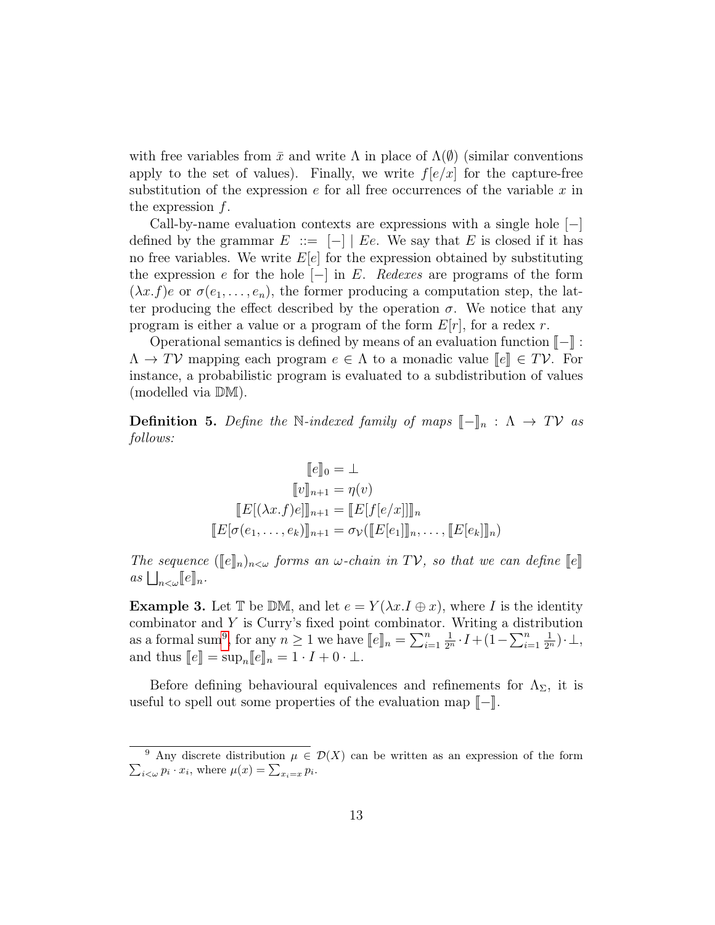with free variables from  $\bar{x}$  and write  $\Lambda$  in place of  $\Lambda(\emptyset)$  (similar conventions apply to the set of values). Finally, we write  $f[e/x]$  for the capture-free substitution of the expression  $e$  for all free occurrences of the variable x in the expression  $f$ .

Call-by-name evaluation contexts are expressions with a single hole  $[-]$ defined by the grammar  $E$  ::=  $[-]$   $E$ . We say that E is closed if it has no free variables. We write  $E[e]$  for the expression obtained by substituting the expression e for the hole  $[-]$  in E. Redexes are programs of the form  $(\lambda x.f)e$  or  $\sigma(e_1,\ldots,e_n)$ , the former producing a computation step, the latter producing the effect described by the operation  $\sigma$ . We notice that any program is either a value or a program of the form  $E[r]$ , for a redex r.

Operational semantics is defined by means of an evaluation function  $\llbracket - \rrbracket$ :  $\Lambda \to TV$  mapping each program  $e \in \Lambda$  to a monadic value  $\llbracket e \rrbracket \in TV$ . For instance, a probabilistic program is evaluated to a subdistribution of values (modelled via DM).

**Definition 5.** Define the N-indexed family of maps  $\llbracket - \rrbracket_n$  :  $\Lambda \to TV$  as follows:

$$
[\![e]\!]_0 = \bot
$$
  

$$
[\![v]\!]_{n+1} = \eta(v)
$$
  

$$
[\![E[(\lambda x.f)e]]\!]_{n+1} = [\![E[f[e/x]]]\!]_n
$$
  

$$
[\![E[\sigma(e_1,\ldots,e_k)]\!]_{n+1} = \sigma_{\mathcal{V}}([\![E[e_1]]\!]_n,\ldots,[\![E[e_k]]\!]_n)
$$

The sequence  $(\llbracket e \rrbracket_n)_{n<\omega}$  forms an  $\omega$ -chain in TV, so that we can define  $\llbracket e \rrbracket$  $as \bigsqcup_{n<\omega} [ \! [e] \! ]_n.$ 

**Example 3.** Let T be DM, and let  $e = Y(\lambda x.1 \oplus x)$ , where I is the identity combinator and Y is Curry's fixed point combinator. Writing a distribution as a formal sum<sup>9</sup>, for any  $n \ge 1$  we have  $[\![e]\!]_n = \sum_{i=1}^n$ <br>and thus  $[\![e]\!]_n = \text{sup } [\![e]\!]_n = 1$ .  $I + 0$ .  $\frac{1}{2^n} \cdot I + (1 - \sum_{i=1}^n$  $\frac{1}{2^n})\cdot\perp$ , and thus  $\llbracket e \rrbracket = \sup_n \llbracket e \rrbracket_n = 1 \cdot I + 0 \cdot \bot.$ 

Before defining behavioural equivalences and refinements for  $\Lambda_{\Sigma}$ , it is useful to spell out some properties of the evaluation map  $\llbracket - \rrbracket$ .

 $\sum_{i<\omega} p_i \cdot x_i$ , where  $\mu(x) = \sum_{x_i=x} p_i$ . <sup>9</sup> Any discrete distribution  $\mu \in \mathcal{D}(X)$  can be written as an expression of the form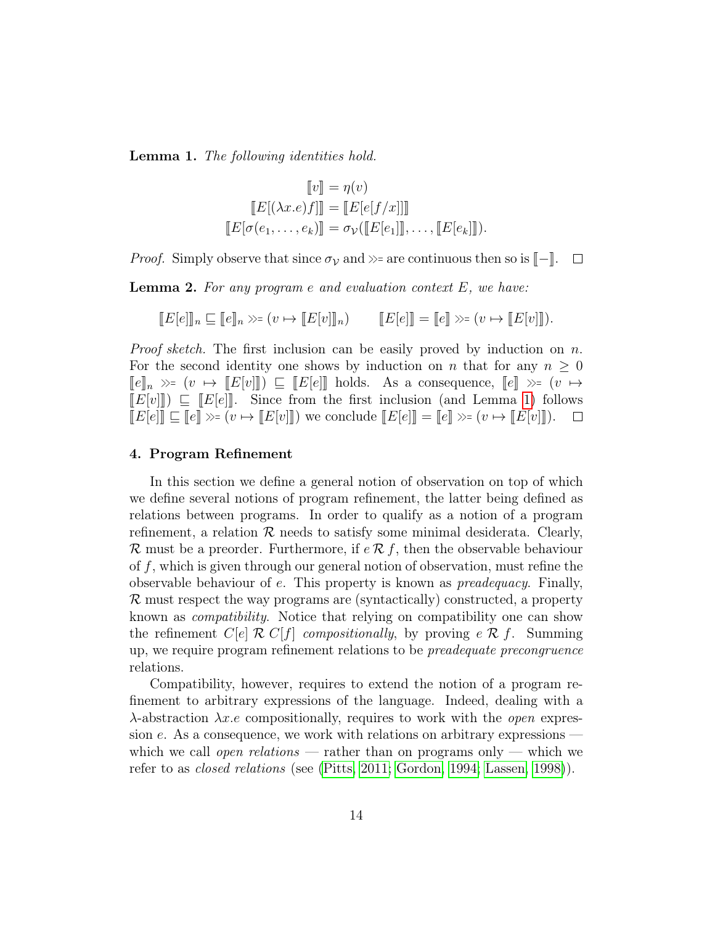Lemma 1. The following identities hold.

$$
\llbracket v \rrbracket = \eta(v)
$$

$$
\llbracket E[(\lambda x. e) f] \rrbracket = \llbracket E[e[f/x]] \rrbracket
$$

$$
\llbracket E[\sigma(e_1, \dots, e_k)] = \sigma_{\mathcal{V}}(\llbracket E[e_1] \rrbracket, \dots, \llbracket E[e_k] \rrbracket).
$$

*Proof.* Simply observe that since  $\sigma_V$  and  $\gg$ = are continuous then so is  $\llbracket - \rrbracket$ .  $\Box$ 

**Lemma 2.** For any program  $e$  and evaluation context  $E$ , we have:

$$
[[E[e]]_n \sqsubseteq [[e]]_n \gg=(v \mapsto [[E[v]]]_n) \qquad [[E[e]]]=[[e]] \gg=(v \mapsto [[E[v]]]).
$$

*Proof sketch.* The first inclusion can be easily proved by induction on  $n$ . For the second identity one shows by induction on n that for any  $n \geq 0$  $\llbracket e \rrbracket_n \gg = (v \mapsto \llbracket E[v] \rrbracket) \sqsubseteq \llbracket E[e] \rrbracket$  holds. As a consequence,  $\llbracket e \rrbracket \gg = (v \mapsto$  $[E[v]]] \subseteq [E[e]]$ . Since from the first inclusion (and Lemma 1) follows  $[E[e]] \sqsubset [e]] \gg (v \mapsto [E[v]])$  we conclude  $[E[e]] = [e] \gg (v \mapsto [E[v]])$ .  $\llbracket E[e] \rrbracket \subseteq \llbracket e \rrbracket \gg = (v \mapsto \llbracket E[v] \rrbracket)$  we conclude  $\llbracket E[e] \rrbracket = \llbracket e \rrbracket \gg = (v \mapsto \llbracket E[v] \rrbracket).$ 

#### 4. Program Refinement

In this section we define a general notion of observation on top of which we define several notions of program refinement, the latter being defined as relations between programs. In order to qualify as a notion of a program refinement, a relation  $\mathcal R$  needs to satisfy some minimal desiderata. Clearly, R must be a preorder. Furthermore, if  $e \mathcal{R} f$ , then the observable behaviour of f, which is given through our general notion of observation, must refine the observable behaviour of e. This property is known as preadequacy. Finally, R must respect the way programs are (syntactically) constructed, a property known as compatibility. Notice that relying on compatibility one can show the refinement  $C[e] \mathcal{R} C[f]$  compositionally, by proving  $e \mathcal{R} f$ . Summing up, we require program refinement relations to be preadequate precongruence relations.

Compatibility, however, requires to extend the notion of a program refinement to arbitrary expressions of the language. Indeed, dealing with a  $\lambda$ -abstraction  $\lambda x.e$  compositionally, requires to work with the *open* expression  $e$ . As a consequence, we work with relations on arbitrary expressions which we call open relations — rather than on programs only — which we refer to as closed relations (see (Pitts, 2011; Gordon, 1994; Lassen, 1998)).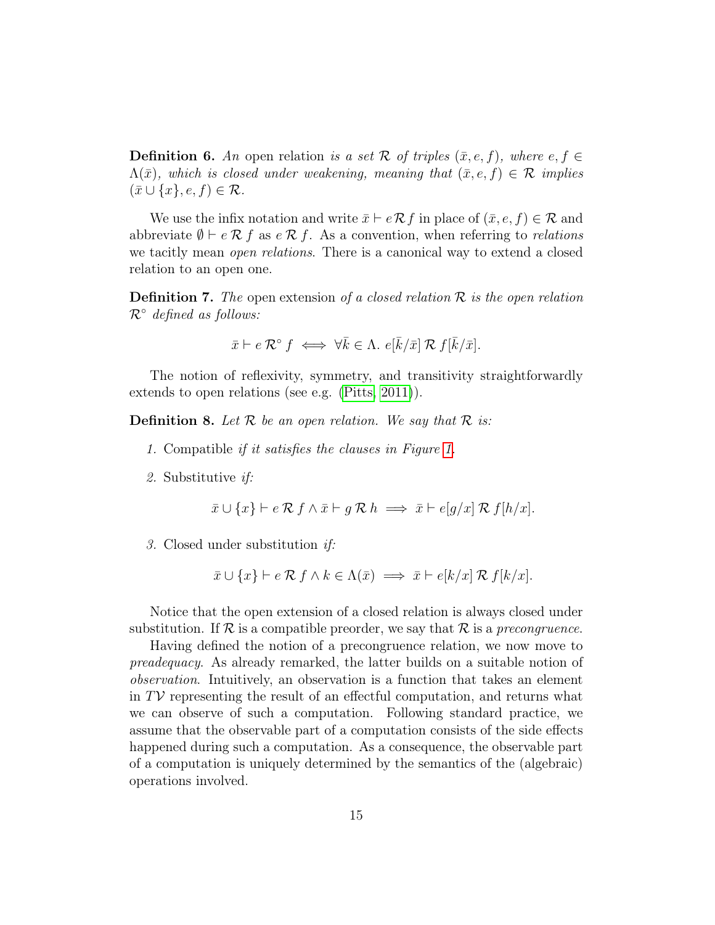**Definition 6.** An open relation is a set R of triples  $(\bar{x}, e, f)$ , where  $e, f \in$  $\Lambda(\bar{x})$ , which is closed under weakening, meaning that  $(\bar{x}, e, f) \in \mathcal{R}$  implies  $(\bar{x} \cup \{x\}, e, f) \in \mathcal{R}.$ 

We use the infix notation and write  $\bar{x} \vdash e \mathcal{R} f$  in place of  $(\bar{x}, e, f) \in \mathcal{R}$  and abbreviate  $\emptyset \vdash e \mathcal{R} f$  as  $e \mathcal{R} f$ . As a convention, when referring to *relations* we tacitly mean *open relations*. There is a canonical way to extend a closed relation to an open one.

**Definition 7.** The open extension of a closed relation  $\mathcal{R}$  is the open relation  $\mathcal{R}^{\circ}$  defined as follows:

$$
\bar{x} \vdash e \mathcal{R}^{\circ} f \iff \forall \bar{k} \in \Lambda.
$$
  $e[\bar{k}/\bar{x}] \mathcal{R} f[\bar{k}/\bar{x}].$ 

The notion of reflexivity, symmetry, and transitivity straightforwardly extends to open relations (see e.g. (Pitts, 2011)).

**Definition 8.** Let  $\mathcal{R}$  be an open relation. We say that  $\mathcal{R}$  is:

- 1. Compatible if it satisfies the clauses in Figure 1.
- 2. Substitutive if:

$$
\bar{x} \cup \{x\} \vdash e \mathcal{R} \; f \wedge \bar{x} \vdash g \; \mathcal{R} \; h \implies \bar{x} \vdash e[g/x] \; \mathcal{R} \; f[h/x].
$$

3. Closed under substitution if:

$$
\bar{x} \cup \{x\} \vdash e \mathcal{R} f \land k \in \Lambda(\bar{x}) \implies \bar{x} \vdash e[k/x] \mathcal{R} f[k/x].
$$

Notice that the open extension of a closed relation is always closed under substitution. If  $\mathcal R$  is a compatible preorder, we say that  $\mathcal R$  is a precongruence.

Having defined the notion of a precongruence relation, we now move to preadequacy. As already remarked, the latter builds on a suitable notion of observation. Intuitively, an observation is a function that takes an element in  $T\mathcal{V}$  representing the result of an effectful computation, and returns what we can observe of such a computation. Following standard practice, we assume that the observable part of a computation consists of the side effects happened during such a computation. As a consequence, the observable part of a computation is uniquely determined by the semantics of the (algebraic) operations involved.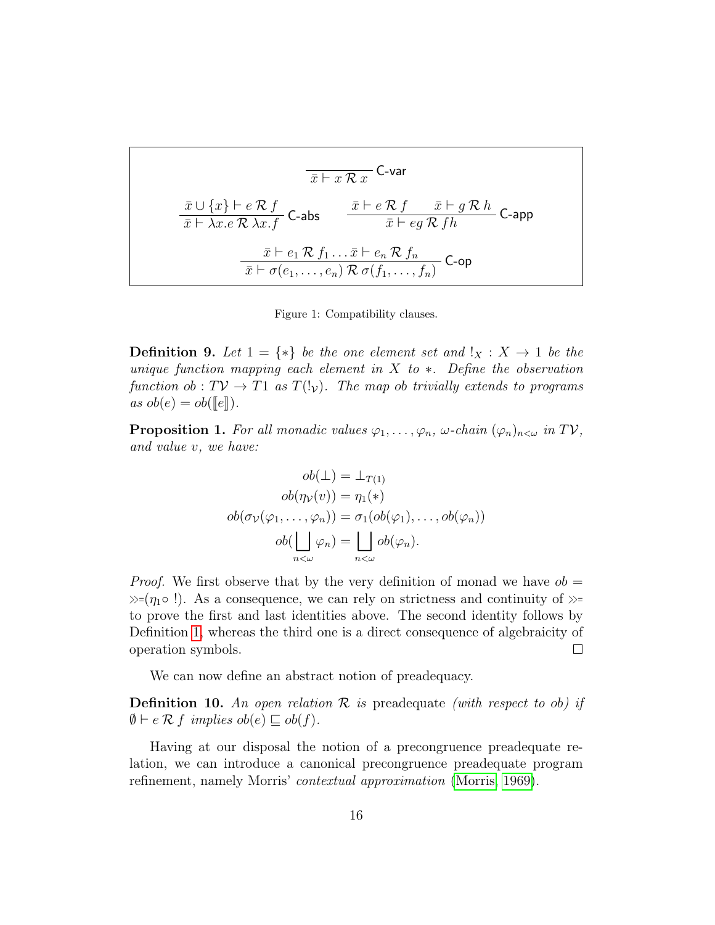$$
\overline{x} \vdash x \mathcal{R} x
$$
\n
$$
\frac{\overline{x} \cup \{x\} \vdash e \mathcal{R} f}{\overline{x} \vdash \lambda x. e \mathcal{R} \lambda x. f}
$$
\n
$$
\text{C-abs} \qquad \frac{\overline{x} \vdash e \mathcal{R} f \qquad \overline{x} \vdash g \mathcal{R} h}{\overline{x} \vdash eg \mathcal{R} fh}
$$
\n
$$
\frac{\overline{x} \vdash e_1 \mathcal{R} f_1 \ldots \overline{x} \vdash e_n \mathcal{R} f_n}{\overline{x} \vdash \sigma(e_1, \ldots, e_n) \mathcal{R} \sigma(f_1, \ldots, f_n)}
$$
\n
$$
\text{C-op}
$$

Figure 1: Compatibility clauses.

**Definition 9.** Let  $1 = \{*\}$  be the one element set and  $\mathbf{I}_X : X \to 1$  be the unique function mapping each element in  $X$  to  $*$ . Define the observation function ob :  $T V \to T1$  as  $T(V_V)$ . The map ob trivially extends to programs as  $ob(e) = ob(\llbracket e \rrbracket)$ .

**Proposition 1.** For all monadic values  $\varphi_1, \ldots, \varphi_n$ ,  $\omega$ -chain  $(\varphi_n)_{n \leq \omega}$  in TV, and value v, we have:

$$
ob(\bot) = \bot_{T(1)}
$$

$$
ob(\eta_{\mathcal{V}}(v)) = \eta_1(*)
$$

$$
ob(\sigma_{\mathcal{V}}(\varphi_1, \dots, \varphi_n)) = \sigma_1(ob(\varphi_1), \dots, ob(\varphi_n))
$$

$$
ob(\bigsqcup_{n < \omega} \varphi_n) = \bigsqcup_{n < \omega} ob(\varphi_n).
$$

*Proof.* We first observe that by the very definition of monad we have  $ob =$  $\gg=(\eta_1 \circ !)$ . As a consequence, we can rely on strictness and continuity of  $\gg$ = to prove the first and last identities above. The second identity follows by Definition 1, whereas the third one is a direct consequence of algebraicity of operation symbols.  $\Box$ 

We can now define an abstract notion of preadequacy.

**Definition 10.** An open relation  $\mathcal{R}$  is preadequate (with respect to ob) if  $\emptyset \vdash e \mathcal{R}$  f implies  $ob(e) \sqsubseteq ob(f)$ .

Having at our disposal the notion of a precongruence preadequate relation, we can introduce a canonical precongruence preadequate program refinement, namely Morris' contextual approximation (Morris, 1969).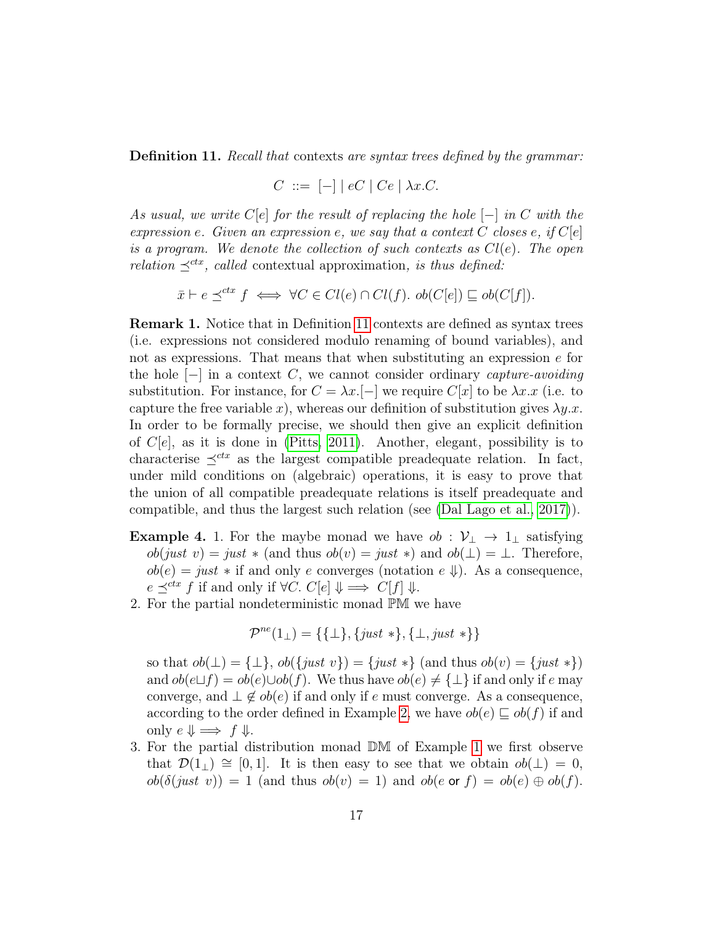Definition 11. Recall that contexts are syntax trees defined by the grammar:

$$
C \ ::= \ [-] \mid eC \mid Ce \mid \lambda x.C.
$$

As usual, we write  $C[e]$  for the result of replacing the hole  $[-]$  in C with the expression e. Given an expression e, we say that a context C closes e, if  $C[e]$ is a program. We denote the collection of such contexts as  $Cl(e)$ . The open relation  $\preceq^{ctx}$ , called contextual approximation, is thus defined:

$$
\bar{x} \vdash e \preceq^{ctx} f \iff \forall C \in Cl(e) \cap Cl(f). ob(C[e]) \sqsubseteq ob(C[f]).
$$

Remark 1. Notice that in Definition 11 contexts are defined as syntax trees (i.e. expressions not considered modulo renaming of bound variables), and not as expressions. That means that when substituting an expression  $e$  for the hole  $[-]$  in a context C, we cannot consider ordinary capture-avoiding substitution. For instance, for  $C = \lambda x$ .[-] we require  $C[x]$  to be  $\lambda x.x$  (i.e. to capture the free variable x), whereas our definition of substitution gives  $\lambda y.x$ . In order to be formally precise, we should then give an explicit definition of  $C[e]$ , as it is done in (Pitts, 2011). Another, elegant, possibility is to characterise  $\preceq^{ctx}$  as the largest compatible preadequate relation. In fact, under mild conditions on (algebraic) operations, it is easy to prove that the union of all compatible preadequate relations is itself preadequate and compatible, and thus the largest such relation (see (Dal Lago et al., 2017)).

- **Example 4.** 1. For the maybe monad we have  $ob : \mathcal{V}_\perp \to 1_\perp$  satisfying  $ob(just \ v) = just * (and thus \ ob(v) = just *)$  and  $ob(\bot) = \bot$ . Therefore,  $ob(e) = just * if and only e converges (notation e \psi).$  As a consequence,  $e \preceq^{ctx} f$  if and only if  $\forall C. C[e] \Downarrow \implies C[f] \Downarrow$ .
- 2. For the partial nondeterministic monad PM we have

$$
\mathcal{P}^{ne}(1_{\perp}) = \{\{\perp\}, \{just * \}, \{\perp, just *\}\}\
$$

so that  $ob(\perp) = {\perp}, ob({just v}) = {just *} (and thus ob(v) = {just *})$ and  $ob(e \sqcup f) = ob(e) \cup ob(f)$ . We thus have  $ob(e) \neq {\perp}$  if and only if e may converge, and  $\perp \notin ob(e)$  if and only if e must converge. As a consequence, according to the order defined in Example 2, we have  $ob(e) \sqsubset ob(f)$  if and only  $e \Downarrow \implies f \Downarrow$ .

3. For the partial distribution monad DM of Example 1 we first observe that  $\mathcal{D}(1_+) \cong [0,1]$ . It is then easy to see that we obtain  $ob(\perp) = 0$ ,  $ob(\delta(just \ v)) = 1$  (and thus  $ob(v) = 1$ ) and  $ob(e \text{ or } f) = ob(e) \oplus ob(f)$ .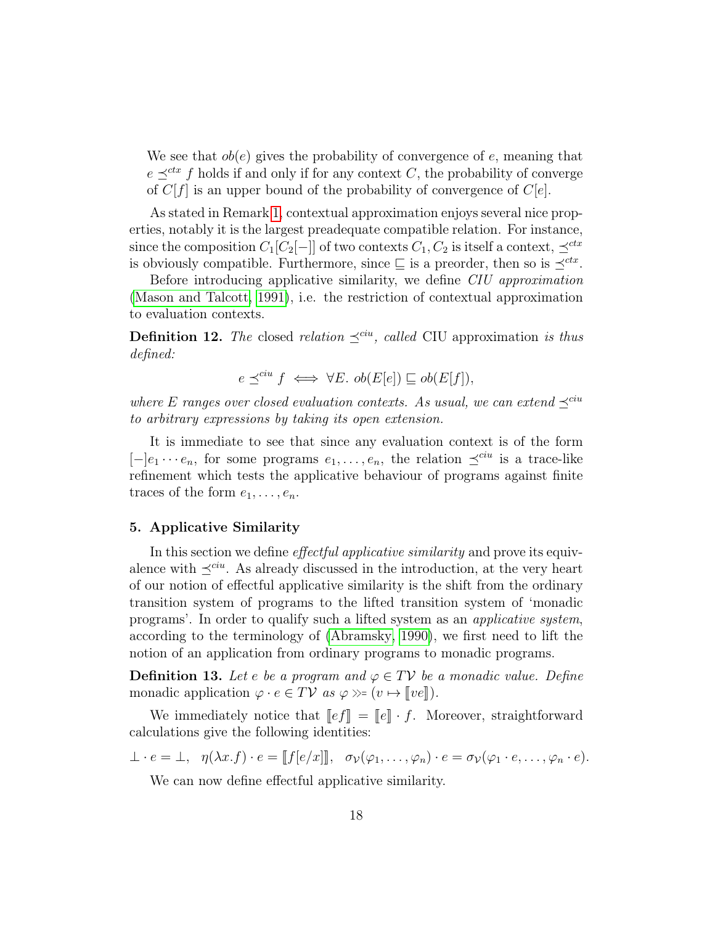We see that  $ob(e)$  gives the probability of convergence of e, meaning that  $e \prec^{ctx} f$  holds if and only if for any context C, the probability of converge of  $C[f]$  is an upper bound of the probability of convergence of  $C[e]$ .

As stated in Remark 1, contextual approximation enjoys several nice properties, notably it is the largest preadequate compatible relation. For instance, since the composition  $C_1[C_2[-]]$  of two contexts  $C_1, C_2$  is itself a context,  $\preceq^{ctx}$ is obviously compatible. Furthermore, since  $\subseteq$  is a preorder, then so is  $\preceq^{ctx}$ .

Before introducing applicative similarity, we define *CIU approximation* (Mason and Talcott, 1991), i.e. the restriction of contextual approximation to evaluation contexts.

**Definition 12.** The closed relation  $\preceq^{cu}$ , called CIU approximation is thus defined:

$$
e \preceq^{cu} f \iff \forall E. \ ob(E[e]) \sqsubseteq ob(E[f]),
$$

where E ranges over closed evaluation contexts. As usual, we can extend  $\preceq^{cu}$ to arbitrary expressions by taking its open extension.

It is immediate to see that since any evaluation context is of the form  $[-]e_1 \cdots e_n$ , for some programs  $e_1, \ldots, e_n$ , the relation  $\preceq^{cu}$  is a trace-like refinement which tests the applicative behaviour of programs against finite traces of the form  $e_1, \ldots, e_n$ .

#### 5. Applicative Similarity

In this section we define *effectful applicative similarity* and prove its equivalence with  $\prec^{ciu}$ . As already discussed in the introduction, at the very heart of our notion of effectful applicative similarity is the shift from the ordinary transition system of programs to the lifted transition system of 'monadic programs'. In order to qualify such a lifted system as an applicative system, according to the terminology of (Abramsky, 1990), we first need to lift the notion of an application from ordinary programs to monadic programs.

**Definition 13.** Let e be a program and  $\varphi \in TV$  be a monadic value. Define monadic application  $\varphi \cdot e \in TV$  as  $\varphi \gg (v \mapsto ||ve||)$ .

We immediately notice that  $\llbracket e f \rrbracket = \llbracket e \rrbracket \cdot f$ . Moreover, straightforward calculations give the following identities:

$$
\perp \cdot e = \perp, \ \ \eta(\lambda x.f) \cdot e = [[f[e/x]], \ \ \sigma_{\mathcal{V}}(\varphi_1, \ldots, \varphi_n) \cdot e = \sigma_{\mathcal{V}}(\varphi_1 \cdot e, \ldots, \varphi_n \cdot e).
$$

We can now define effectful applicative similarity.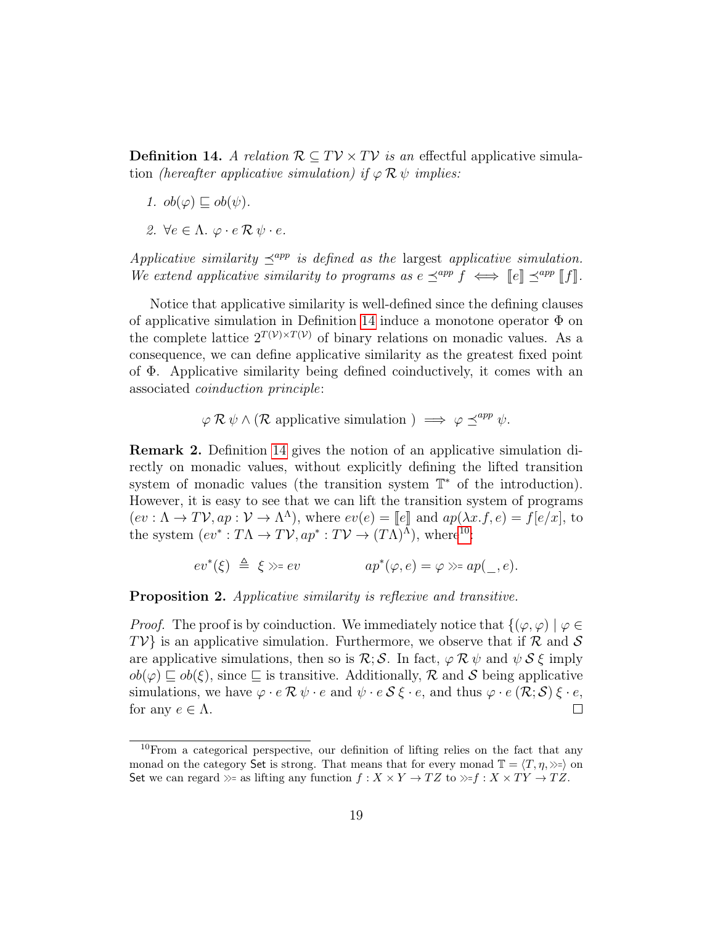**Definition 14.** A relation  $\mathcal{R} \subseteq TV \times TV$  is an effectful applicative simulation (hereafter applicative simulation) if  $\varphi \mathcal{R} \psi$  implies:

- 1.  $ob(\varphi) \sqsubset ob(\psi)$ .
- 2.  $\forall e \in \Lambda$ .  $\varphi \cdot e \mathcal{R} \psi \cdot e$ .

Applicative similarity  $\preceq^{app}$  is defined as the largest applicative simulation. We extend applicative similarity to programs as  $e \preceq^{app} f \iff \|e\| \preceq^{app} \|f\|.$ 

Notice that applicative similarity is well-defined since the defining clauses of applicative simulation in Definition 14 induce a monotone operator  $\Phi$  on the complete lattice  $2^{T(V)\times T(V)}$  of binary relations on monadic values. As a consequence, we can define applicative similarity as the greatest fixed point of Φ. Applicative similarity being defined coinductively, it comes with an associated coinduction principle:

$$
\varphi \mathcal{R} \psi \wedge (\mathcal{R} \text{ applicative simulation}) \implies \varphi \preceq^{app} \psi.
$$

Remark 2. Definition 14 gives the notion of an applicative simulation directly on monadic values, without explicitly defining the lifted transition system of monadic values (the transition system  $\mathbb{T}^*$  of the introduction). However, it is easy to see that we can lift the transition system of programs  $(ev: \Lambda \to TV, ap: \mathcal{V} \to \Lambda^{\Lambda})$ , where  $ev(e) = [e]$  and  $ap(\lambda x.f, e) = f[e/x]$ , to the system  $(e^{*\lambda x}.T\Lambda \to T\mathcal{V}$ ,  $ar^* \cdot T\mathcal{V} \to (T\Lambda)^{\Lambda}$ , where  $e^{i\theta}$ . the system  $(ev^*: T\Lambda \to TV, ap^*: TV \to (T\Lambda)^{\Lambda}),$  where<sup>10</sup>:

$$
ev^*(\xi) \triangleq \xi \gg ev
$$
  $ap^*(\varphi, e) = \varphi \gg ap(\_, e).$ 

Proposition 2. Applicative similarity is reflexive and transitive.

*Proof.* The proof is by coinduction. We immediately notice that  $\{(\varphi, \varphi) | \varphi \in$  $TV$  is an applicative simulation. Furthermore, we observe that if  $\mathcal R$  and  $\mathcal S$ are applicative simulations, then so is  $\mathcal{R}; \mathcal{S}$ . In fact,  $\varphi \mathcal{R} \psi$  and  $\psi \mathcal{S} \xi$  imply  $ob(\varphi) \sqsubseteq ob(\xi)$ , since  $\sqsubseteq$  is transitive. Additionally,  $\mathcal R$  and  $\mathcal S$  being applicative simulations, we have  $\varphi \cdot e \mathcal{R} \psi \cdot e$  and  $\psi \cdot e \mathcal{S} \xi \cdot e$ , and thus  $\varphi \cdot e \left( \mathcal{R}; \mathcal{S} \right) \xi \cdot e$ ,  $\Box$ for any  $e \in \Lambda$ .

 $10$  From a categorical perspective, our definition of lifting relies on the fact that any monad on the category Set is strong. That means that for every monad  $\mathbb{T} = \langle T, \eta, \rangle \rangle = \rangle$  on Set we can regard  $\gg$ = as lifting any function  $f : X \times Y \to TZ$  to  $\gg f : X \times TY \to TZ$ .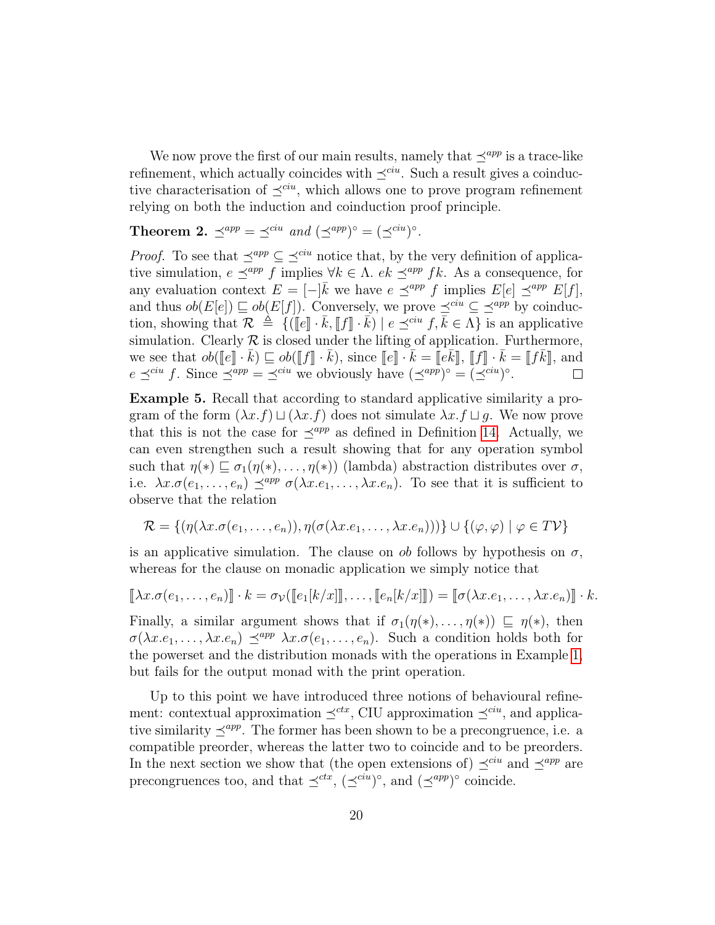We now prove the first of our main results, namely that  $\preceq^{app}$  is a trace-like refinement, which actually coincides with  $\preceq^{ciu}$ . Such a result gives a coinductive characterisation of  $\preceq^{cu}$ , which allows one to prove program refinement relying on both the induction and coinduction proof principle.

**Theorem 2.**  $\preceq^{app} = \preceq^{ciu}$  and  $(\preceq^{app})^{\circ} = (\preceq^{ciu})^{\circ}$ .

*Proof.* To see that  $\preceq^{app} \subseteq \preceq^{ciu}$  notice that, by the very definition of applicative simulation,  $e \preceq^{app} f$  implies  $\forall k \in \Lambda$ .  $ek \preceq^{app} fk$ . As a consequence, for any evaluation context  $E = [-\bar{k}$  we have  $e \preceq^{app} f$  implies  $E[e] \preceq^{app} E[f],$ and thus  $ob(E[e]) \sqsubseteq ob(E[f])$ . Conversely, we prove  $\preceq^{cu} \subseteq \preceq^{app}$  by coinduction, showing that  $\mathcal{R} \triangleq \{([\![e]\!]\cdot \bar{k}, [\![f]\!]\cdot \bar{k}) \mid e \preceq^{cu} f, \bar{k} \in \Lambda \}$  is an applicative<br>simulation. Clearly  $\mathcal{P}$  is closed under the lifting of application. Furthermore, simulation. Clearly  $R$  is closed under the lifting of application. Furthermore, we see that  $ob([\![e]\!] \cdot \bar{k}) \sqsubseteq ob([\![f]\!] \cdot \bar{k})$ , since  $[\![e]\!] \cdot \bar{k} = [\![e\bar{k}]\!]$ ,  $[\![f]\!] \cdot \bar{k} = [\![f\bar{k}]\!]$ , and  $e \preceq^{cu} f$ . Since  $\preceq^{app} = \preceq^{cu}$  we obviously have  $(\preceq^{app})^{\circ} = (\preceq^{cu})^{\circ}$ .

Example 5. Recall that according to standard applicative similarity a program of the form  $(\lambda x.f) \sqcup (\lambda x.f)$  does not simulate  $\lambda x.f \sqcup g$ . We now prove that this is not the case for  $\preceq^{app}$  as defined in Definition 14. Actually, we can even strengthen such a result showing that for any operation symbol such that  $\eta(*) \sqsubseteq \sigma_1(\eta(*), \ldots, \eta(*))$  (lambda) abstraction distributes over  $\sigma$ , i.e.  $\lambda x.\sigma(e_1,\ldots,e_n) \preceq^{app} \sigma(\lambda x.e_1,\ldots,\lambda x.e_n)$ . To see that it is sufficient to observe that the relation

$$
\mathcal{R} = \{(\eta(\lambda x. \sigma(e_1, \ldots, e_n)), \eta(\sigma(\lambda x. e_1, \ldots, \lambda x. e_n)))\} \cup \{(\varphi, \varphi) \mid \varphi \in T\mathcal{V}\}\
$$

is an applicative simulation. The clause on  $ob$  follows by hypothesis on  $\sigma$ , whereas for the clause on monadic application we simply notice that

$$
[\![\lambda x.\sigma(e_1,\ldots,e_n)]\!]\cdot k = \sigma_{\mathcal{V}}([\![e_1[k/x]]\!],\ldots,[\![e_n[k/x]]\!]) = [\![\sigma(\lambda x.e_1,\ldots,\lambda x.e_n)]\!]\cdot k.
$$

Finally, a similar argument shows that if  $\sigma_1(\eta(*), \ldots, \eta(*) \subseteq \eta(*)$ , then  $\sigma(\lambda x.e_1, \ldots, \lambda x.e_n) \preceq^{app} \lambda x.\sigma(e_1, \ldots, e_n)$ . Such a condition holds both for the powerset and the distribution monads with the operations in Example 1, but fails for the output monad with the print operation.

Up to this point we have introduced three notions of behavioural refinement: contextual approximation  $\prec^{ctx}$ , CIU approximation  $\prec^{ciu}$ , and applicative similarity  $\prec^{app}$ . The former has been shown to be a precongruence, i.e. a compatible preorder, whereas the latter two to coincide and to be preorders. In the next section we show that (the open extensions of)  $\preceq^{cu}$  and  $\preceq^{app}$  are precongruences too, and that  $\preceq^{ctx}$ ,  $(\preceq^{ciu})^{\circ}$ , and  $(\preceq^{app})^{\circ}$  coincide.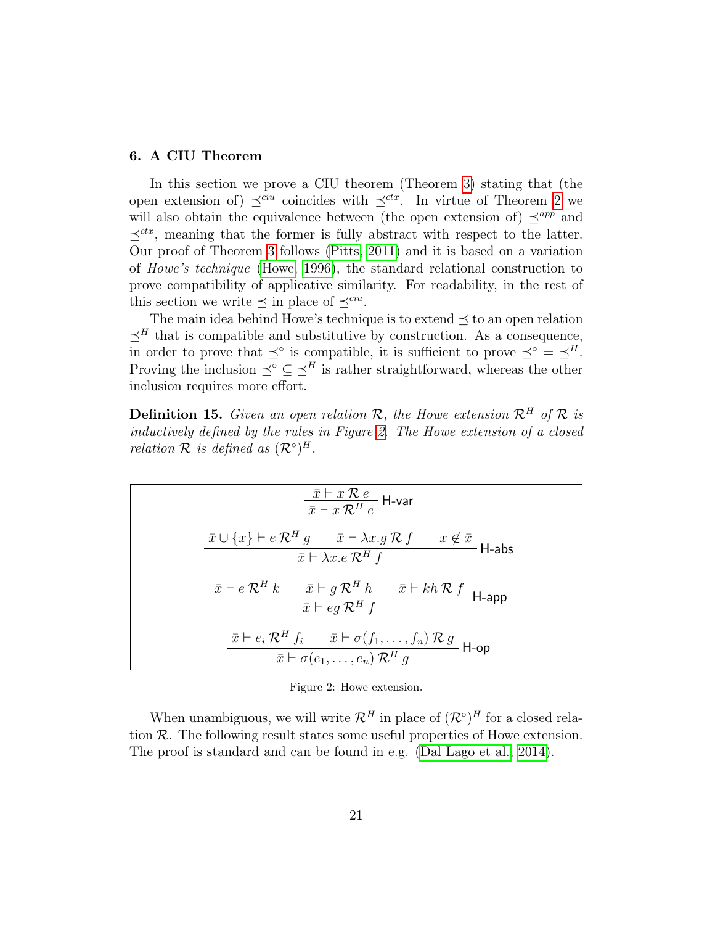#### 6. A CIU Theorem

In this section we prove a CIU theorem (Theorem 3) stating that (the open extension of)  $\preceq^{cu}$  coincides with  $\preceq^{ctx}$ . In virtue of Theorem 2 we will also obtain the equivalence between (the open extension of)  $\preceq^{app}$  and  $\preceq^{ctx}$ , meaning that the former is fully abstract with respect to the latter. Our proof of Theorem 3 follows (Pitts, 2011) and it is based on a variation of Howe's technique (Howe, 1996), the standard relational construction to prove compatibility of applicative similarity. For readability, in the rest of this section we write  $\preceq$  in place of  $\preceq^{cu}$ .

The main idea behind Howe's technique is to extend  $\preceq$  to an open relation  $\preceq^H$  that is compatible and substitutive by construction. As a consequence, in order to prove that  $\preceq^{\circ}$  is compatible, it is sufficient to prove  $\preceq^{\circ} = \preceq^H$ . Proving the inclusion  $\preceq^{\circ} \subseteq \preceq^H$  is rather straightforward, whereas the other inclusion requires more effort.

**Definition 15.** Given an open relation R, the Howe extension  $\mathcal{R}^H$  of R is inductively defined by the rules in Figure 2. The Howe extension of a closed relation  $\mathcal R$  is defined as  $(\mathcal R^\circ)^H$ .

$$
\frac{\bar{x} \vdash x \mathcal{R} e}{\bar{x} \vdash x \mathcal{R}^H e} \mathsf{H}\text{-var}
$$
\n
$$
\frac{\bar{x} \cup \{x\} \vdash e \mathcal{R}^H g \qquad \bar{x} \vdash \lambda x. g \mathcal{R} f \qquad x \notin \bar{x}}{\bar{x} \vdash \lambda x. e \mathcal{R}^H f} \mathsf{H}\text{-abs}
$$
\n
$$
\frac{\bar{x} \vdash e \mathcal{R}^H k \qquad \bar{x} \vdash g \mathcal{R}^H h \qquad \bar{x} \vdash kh \mathcal{R} f}{\bar{x} \vdash eg \mathcal{R}^H f}
$$
\n
$$
\frac{\bar{x} \vdash e_i \mathcal{R}^H f_i \qquad \bar{x} \vdash \sigma(f_1, \dots, f_n) \mathcal{R} g}{\bar{x} \vdash \sigma(e_1, \dots, e_n) \mathcal{R}^H g} \mathsf{H}\text{-op}
$$

Figure 2: Howe extension.

When unambiguous, we will write  $\mathcal{R}^H$  in place of  $(\mathcal{R}^{\circ})^H$  for a closed relation  $R$ . The following result states some useful properties of Howe extension. The proof is standard and can be found in e.g. (Dal Lago et al., 2014).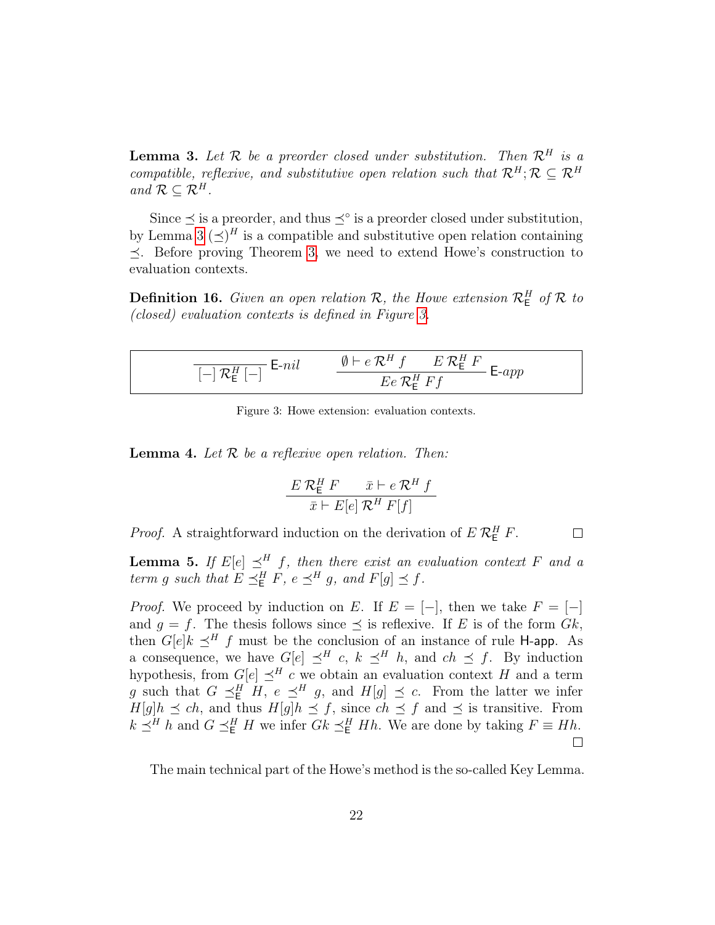**Lemma 3.** Let  $\mathcal{R}$  be a preorder closed under substitution. Then  $\mathcal{R}^H$  is a compatible, reflexive, and substitutive open relation such that  $\mathcal{R}^H$ ;  $\mathcal{R} \subseteq \mathcal{R}^H$ and  $\mathcal{R} \subseteq \mathcal{R}^H$ .

Since  $\leq$  is a preorder, and thus  $\leq^{\circ}$  is a preorder closed under substitution, by Lemma 3  $(\preceq)^H$  is a compatible and substitutive open relation containing  $\prec$ . Before proving Theorem 3, we need to extend Howe's construction to evaluation contexts.

**Definition 16.** Given an open relation  $\mathcal{R}$ , the Howe extension  $\mathcal{R}_{\mathsf{E}}^H$  of  $\mathcal{R}$  to (closed) evaluation contexts is defined in Figure 3.

$$
\frac{\mathbb{I}[\neg] \mathcal{R}^H_{\mathsf{E}}[\neg] \mathsf{E}\neg nil}{\left[-\right] \mathcal{R}^H_{\mathsf{E}}[\neg]} \qquad \frac{\emptyset \vdash e \mathcal{R}^H f \qquad E \mathcal{R}^H_{\mathsf{E}} F}{E e \mathcal{R}^H_{\mathsf{E}} F f} \mathsf{E}\neg app
$$

Figure 3: Howe extension: evaluation contexts.

**Lemma 4.** Let  $\mathcal{R}$  be a reflexive open relation. Then:

$$
\frac{E \mathcal{R}^H_{\mathsf{E}} F}{\bar{x} \vdash E[e] \mathcal{R}^H F[f]}
$$

*Proof.* A straightforward induction on the derivation of  $E R_{\text{E}}^H F$ .

 $\Box$ 

**Lemma 5.** If  $E[e] \preceq^H f$ , then there exist an evaluation context F and a term g such that  $E \preceq_E^H F$ ,  $e \preceq_H^H g$ , and  $F[g] \preceq f$ .

*Proof.* We proceed by induction on E. If  $E = [-]$ , then we take  $F = [-]$ and  $q = f$ . The thesis follows since  $\prec$  is reflexive. If E is of the form  $Gk$ , then  $G[e]k \preceq^H f$  must be the conclusion of an instance of rule H-app. As a consequence, we have  $G[e] \preceq^H c$ ,  $k \preceq^H h$ , and  $ch \preceq f$ . By induction hypothesis, from  $G[e] \preceq^H c$  we obtain an evaluation context H and a term g such that  $G \preceq^H_{\mathsf{E}} H$ ,  $e \preceq^H g$ , and  $H[g] \preceq c$ . From the latter we infer  $H[g]h \preceq ch$ , and thus  $H[g]h \preceq f$ , since  $ch \preceq f$  and  $\preceq$  is transitive. From  $k \preceq^H h$  and  $G \preceq^H_E H$  we infer  $Gk \preceq^H_E Hh$ . We are done by taking  $F \equiv Hh$ .  $\Box$ 

The main technical part of the Howe's method is the so-called Key Lemma.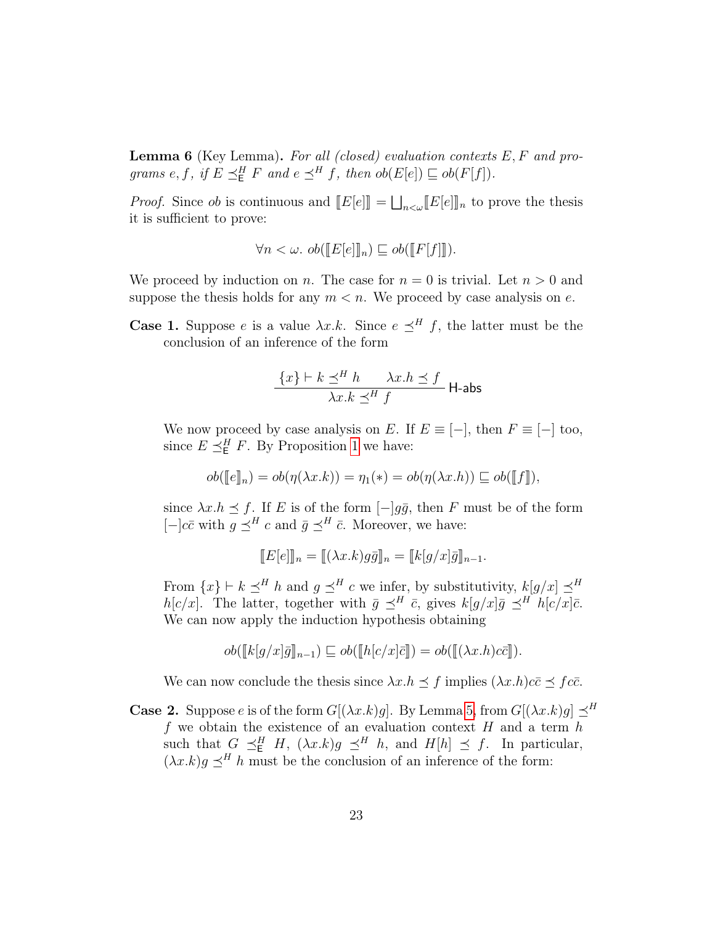**Lemma 6** (Key Lemma). For all (closed) evaluation contexts  $E, F$  and programs e, f, if  $E \preceq_E^H F$  and  $e \preceq_H^H f$ , then  $ob(E[e]) \sqsubseteq ob(F[f])$ .

*Proof.* Since *ob* is continuous and  $[[E[e]]] = \bigsqcup_{n < \omega} [[E[e]]]_n$  to prove the thesis it is sufficient to prove: it is sufficient to prove:

$$
\forall n < \omega. \ ob(\llbracket E[e] \rrbracket_n) \sqsubseteq ob(\llbracket F[f] \rrbracket).
$$

We proceed by induction on n. The case for  $n = 0$  is trivial. Let  $n > 0$  and suppose the thesis holds for any  $m < n$ . We proceed by case analysis on e.

**Case 1.** Suppose e is a value  $\lambda x.k$ . Since  $e \preceq^H f$ , the latter must be the conclusion of an inference of the form

$$
\frac{\{x\} \vdash k \preceq^H h \qquad \lambda x.h \preceq f}{\lambda x.k \preceq^H f} \text{ H-abs}
$$

We now proceed by case analysis on E. If  $E \equiv [-]$ , then  $F \equiv [-]$  too, since  $E \preceq_E^H F$ . By Proposition 1 we have:

$$
ob([\![e]\!]_n) = ob(\eta(\lambda x.k)) = \eta_1(*) = ob(\eta(\lambda x.h)) \sqsubseteq ob([\![f]\!]),
$$

since  $\lambda x.h \leq f$ . If E is of the form  $[-]q\bar{q}$ , then F must be of the form  $[-]c\bar{c}$  with  $g \preceq^H c$  and  $\bar{g} \preceq^H \bar{c}$ . Moreover, we have:

$$
[[E[e]]n = [[(\lambda x.k)g\bar{g}]n = [[k[g/x]\bar{g}]n-1.
$$

From  $\{x\} \vdash k \preceq^H h$  and  $g \preceq^H c$  we infer, by substitutivity,  $k[g/x] \preceq^H$  $h[c/x]$ . The latter, together with  $\bar{g} \preceq^H \bar{c}$ , gives  $k[g/x]\bar{g} \preceq^H h[c/x]\bar{c}$ . We can now apply the induction hypothesis obtaining

$$
ob([\![k[g/x]\!] \bar{g}]\!]_{n-1}) \sqsubseteq ob([\![h[c/x]\!] \bar{c}]\!]) = ob([\![(\lambda x.h)c\bar{c}]\!]).
$$

We can now conclude the thesis since  $\lambda x.h \leq f$  implies  $(\lambda x.h)c\bar{c} \leq f c\bar{c}$ .

**Case 2.** Suppose e is of the form  $G[(\lambda x.k)g]$ . By Lemma 5, from  $G[(\lambda x.k)g] \preceq^H$  $f$  we obtain the existence of an evaluation context  $H$  and a term  $h$ such that  $G \preceq^H_{\mathsf{E}} H$ ,  $(\lambda x.k)g \preceq^H h$ , and  $H[h] \preceq f$ . In particular,  $(\lambda x. k)g \preceq^H h$  must be the conclusion of an inference of the form: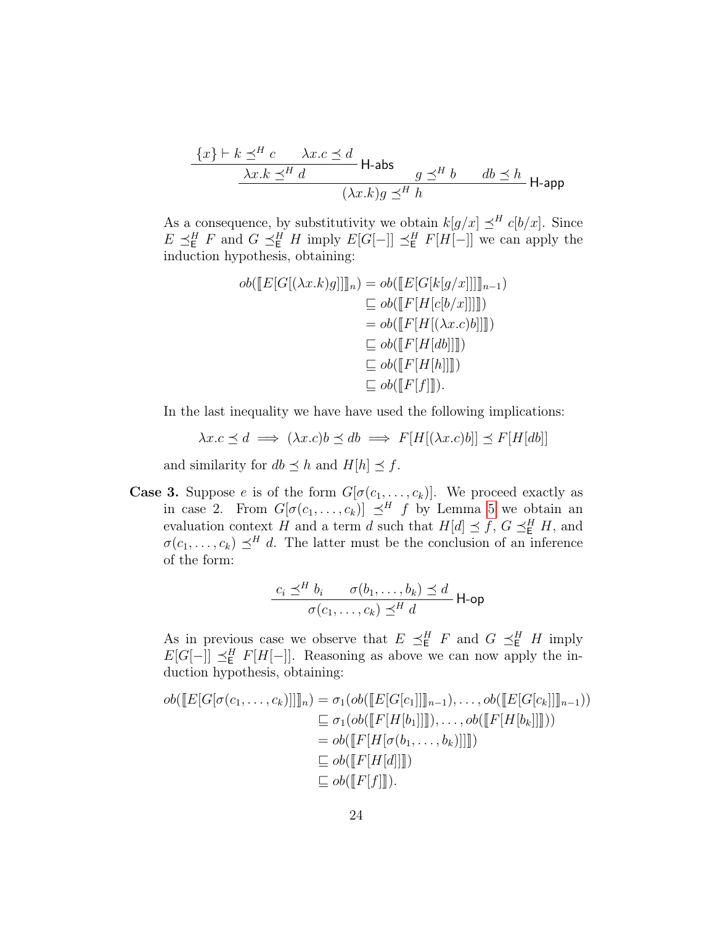$$
\frac{\{x\} \vdash k \preceq^H c \quad \lambda x.c \preceq d}{\lambda x.k \preceq^H d} \mathsf{H}\text{-abs} \quad g \preceq^H b \quad db \preceq h}{(\lambda x.k)g \preceq^H h} \mathsf{H}\text{-app}
$$

As a consequence, by substitutivity we obtain  $k[g/x] \preceq^H c[b/x]$ . Since  $E \preceq_{\mathsf{E}}^H F$  and  $G \preceq_{\mathsf{E}}^H H$  imply  $E[G[-]] \preceq_{\mathsf{E}}^H F[H[-]]$  we can apply the induction hypothesis, obtaining:

$$
ob(\llbracket E[G[(\lambda x.k)g]] \rrbracket_n) = ob(\llbracket E[G[k[g/x]] \rrbracket_{n-1})
$$

$$
\sqsubseteq ob(\llbracket F[H[c[b/x]] \rrbracket))
$$

$$
= ob(\llbracket F[H[(\lambda x.c)b]] \rrbracket))
$$

$$
\sqsubseteq ob(\llbracket F[H[db]] \rrbracket))
$$

$$
\sqsubseteq ob(\llbracket F[H[h]] \rrbracket)
$$

$$
\sqsubseteq ob(\llbracket F[H[h]] \rrbracket).
$$

In the last inequality we have have used the following implications:

 $\lambda x.c \prec d \implies (\lambda x.c)b \prec db \implies F[H[(\lambda x.c)b]] \prec F[H[db]]$ 

and similarity for  $db \preceq h$  and  $H[h] \preceq f$ .

**Case 3.** Suppose e is of the form  $G[\sigma(c_1, \ldots, c_k)]$ . We proceed exactly as in case 2. From  $G[\sigma(c_1, \ldots, c_k)] \preceq^H f$  by Lemma 5 we obtain an evaluation context H and a term d such that  $H[d] \preceq f, G \preceq^H_E H$ , and  $\sigma(c_1, \ldots, c_k) \preceq^H d$ . The latter must be the conclusion of an inference of the form:

$$
\frac{c_i \preceq^H b_i \qquad \sigma(b_1, \ldots, b_k) \preceq d}{\sigma(c_1, \ldots, c_k) \preceq^H d} \mathsf{H}\text{-op}
$$

As in previous case we observe that  $E \preceq_{\mathsf{E}}^H F$  and  $G \preceq_{\mathsf{E}}^H H$  imply  $E[G[-]] \preceq^H_E F[H[-]]$ . Reasoning as above we can now apply the induction hypothesis, obtaining:

$$
ob(\llbracket E[G[\sigma(c_1,\ldots,c_k)]\rrbracket)_n) = \sigma_1(ob(\llbracket E[G[c_1]\rrbracket]_{n-1}),\ldots,ob(\llbracket E[G[c_k]\rrbracket]_{n-1}))
$$
  
\n
$$
\subseteq \sigma_1(ob(\llbracket F[H[b_1]\rrbracket]),\ldots,ob(\llbracket F[H[b_k]\rrbracket)))
$$
  
\n
$$
= ob(\llbracket F[H[\sigma(b_1,\ldots,b_k)]\rrbracket))
$$
  
\n
$$
\subseteq ob(\llbracket F[H[d]\rrbracket])
$$
  
\n
$$
\subseteq ob(\llbracket F[H[d]\rrbracket]).
$$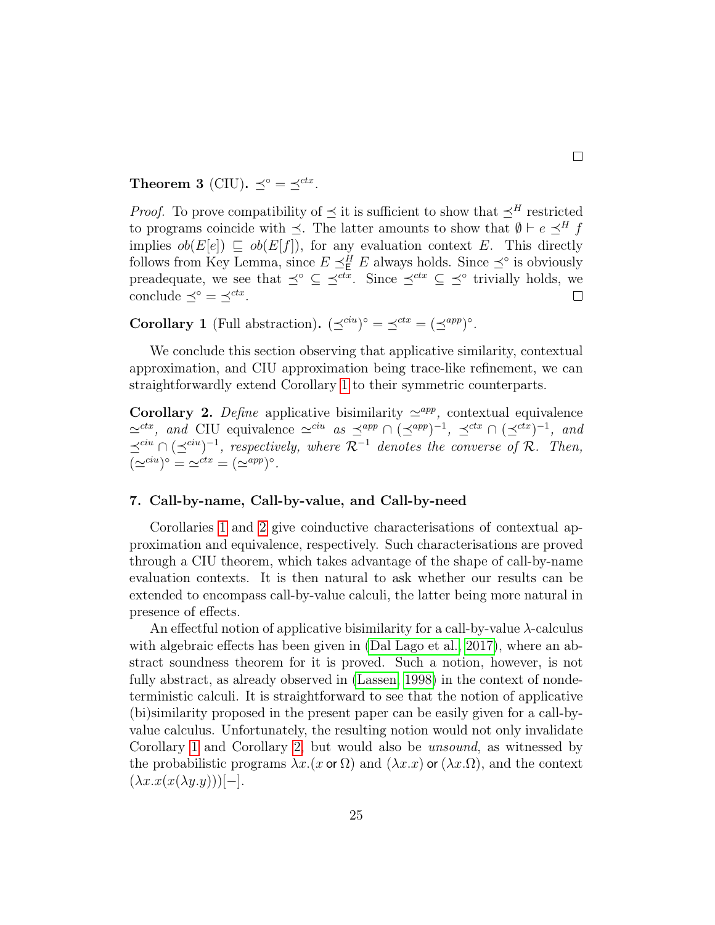Theorem 3 (CIU).  $\preceq^{\circ} = \preceq^{ctx}$ .

*Proof.* To prove compatibility of  $\preceq$  it is sufficient to show that  $\preceq^H$  restricted to programs coincide with  $\preceq$ . The latter amounts to show that  $\emptyset \vdash e \preceq^H f$ implies  $ob(E[e]) \subseteq ob(E[f])$ , for any evaluation context E. This directly follows from Key Lemma, since  $E \preceq_E^H E$  always holds. Since  $\preceq^{\circ}$  is obviously preadequate, we see that  $\preceq^{\circ} \subseteq \preceq^{ctx}$ . Since  $\preceq^{ctx} \subseteq \preceq^{\circ}$  trivially holds, we conclude  $\preceq^{\circ} = \preceq^{ctx}$ .  $\Box$ 

**Corollary 1** (Full abstraction).  $(\preceq^{ciu})^{\circ} = \preceq^{ctx} = (\preceq^{app})^{\circ}$ .

We conclude this section observing that applicative similarity, contextual approximation, and CIU approximation being trace-like refinement, we can straightforwardly extend Corollary 1 to their symmetric counterparts.

Corollary 2. Define applicative bisimilarity  $\approx^{app}$ , contextual equivalence  $\simeq^{ctx}$ , and CIU equivalence  $\simeq^{ciu}$  as  $\preceq^{app} \cap (\preceq^{app})^{-1}$ ,  $\preceq^{ctx} \cap (\preceq^{ctx})^{-1}$ , and  $\preceq^{cu} \cap (\preceq^{cu})^{-1}$ , respectively, where  $\mathcal{R}^{-1}$  denotes the converse of  $\mathcal{R}$ . Then,  $(\simeq^{ciu})^{\circ} = \simeq^{ctx} = (\simeq^{app})^{\circ}.$ 

### 7. Call-by-name, Call-by-value, and Call-by-need

Corollaries 1 and 2 give coinductive characterisations of contextual approximation and equivalence, respectively. Such characterisations are proved through a CIU theorem, which takes advantage of the shape of call-by-name evaluation contexts. It is then natural to ask whether our results can be extended to encompass call-by-value calculi, the latter being more natural in presence of effects.

An effectful notion of applicative bisimilarity for a call-by-value  $\lambda$ -calculus with algebraic effects has been given in (Dal Lago et al., 2017), where an abstract soundness theorem for it is proved. Such a notion, however, is not fully abstract, as already observed in (Lassen, 1998) in the context of nondeterministic calculi. It is straightforward to see that the notion of applicative (bi)similarity proposed in the present paper can be easily given for a call-byvalue calculus. Unfortunately, the resulting notion would not only invalidate Corollary 1 and Corollary 2, but would also be unsound, as witnessed by the probabilistic programs  $\lambda x.(x \text{ or } \Omega)$  and  $(\lambda x.x)$  or  $(\lambda x.\Omega)$ , and the context  $(\lambda x.x(x(\lambda y.y)))[-].$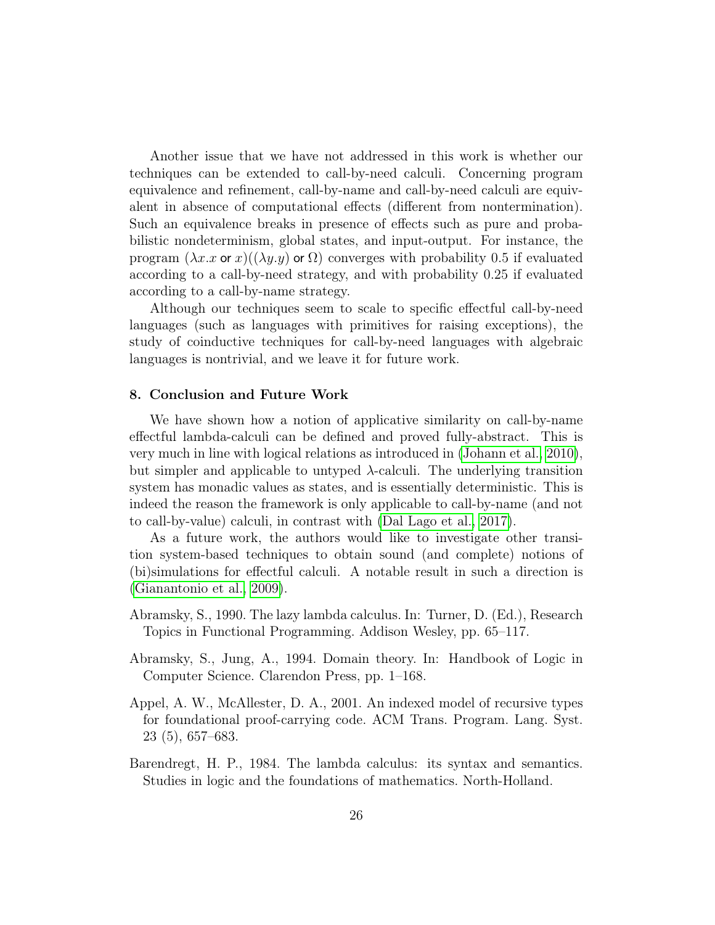Another issue that we have not addressed in this work is whether our techniques can be extended to call-by-need calculi. Concerning program equivalence and refinement, call-by-name and call-by-need calculi are equivalent in absence of computational effects (different from nontermination). Such an equivalence breaks in presence of effects such as pure and probabilistic nondeterminism, global states, and input-output. For instance, the program  $(\lambda x.x$  or x $)((\lambda y.y)$  or  $\Omega)$  converges with probability 0.5 if evaluated according to a call-by-need strategy, and with probability 0.25 if evaluated according to a call-by-name strategy.

Although our techniques seem to scale to specific effectful call-by-need languages (such as languages with primitives for raising exceptions), the study of coinductive techniques for call-by-need languages with algebraic languages is nontrivial, and we leave it for future work.

#### 8. Conclusion and Future Work

We have shown how a notion of applicative similarity on call-by-name effectful lambda-calculi can be defined and proved fully-abstract. This is very much in line with logical relations as introduced in (Johann et al., 2010), but simpler and applicable to untyped  $\lambda$ -calculi. The underlying transition system has monadic values as states, and is essentially deterministic. This is indeed the reason the framework is only applicable to call-by-name (and not to call-by-value) calculi, in contrast with (Dal Lago et al., 2017).

As a future work, the authors would like to investigate other transition system-based techniques to obtain sound (and complete) notions of (bi)simulations for effectful calculi. A notable result in such a direction is (Gianantonio et al., 2009).

- Abramsky, S., 1990. The lazy lambda calculus. In: Turner, D. (Ed.), Research Topics in Functional Programming. Addison Wesley, pp. 65–117.
- Abramsky, S., Jung, A., 1994. Domain theory. In: Handbook of Logic in Computer Science. Clarendon Press, pp. 1–168.
- Appel, A. W., McAllester, D. A., 2001. An indexed model of recursive types for foundational proof-carrying code. ACM Trans. Program. Lang. Syst. 23 (5), 657–683.
- Barendregt, H. P., 1984. The lambda calculus: its syntax and semantics. Studies in logic and the foundations of mathematics. North-Holland.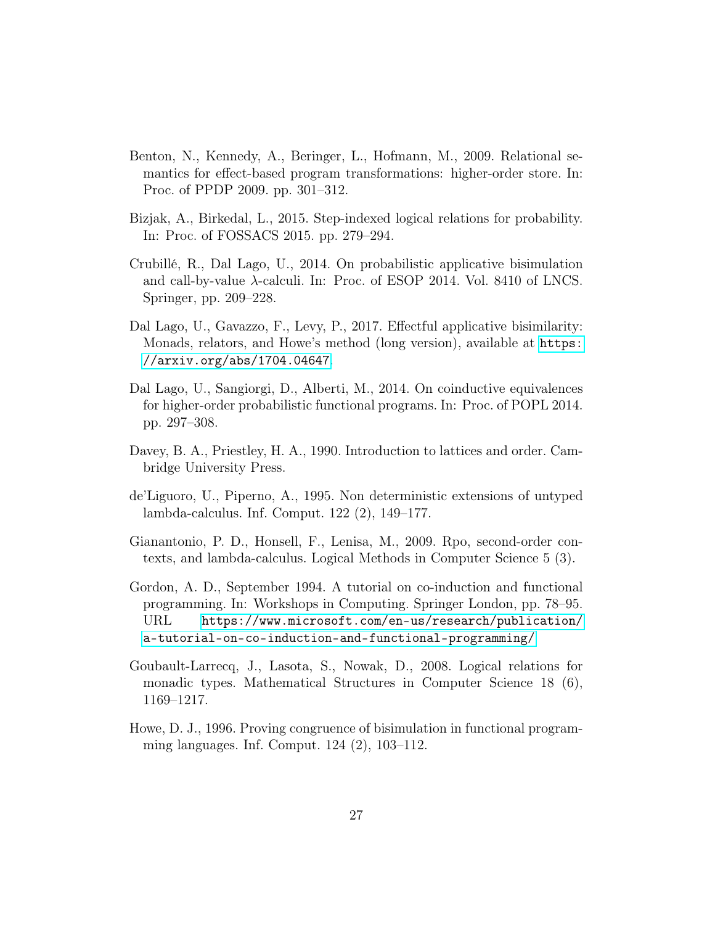- Benton, N., Kennedy, A., Beringer, L., Hofmann, M., 2009. Relational semantics for effect-based program transformations: higher-order store. In: Proc. of PPDP 2009. pp. 301–312.
- Bizjak, A., Birkedal, L., 2015. Step-indexed logical relations for probability. In: Proc. of FOSSACS 2015. pp. 279–294.
- Crubillé, R., Dal Lago, U., 2014. On probabilistic applicative bisimulation and call-by-value  $\lambda$ -calculi. In: Proc. of ESOP 2014. Vol. 8410 of LNCS. Springer, pp. 209–228.
- Dal Lago, U., Gavazzo, F., Levy, P., 2017. Effectful applicative bisimilarity: Monads, relators, and Howe's method (long version), available at [https:](https://arxiv.org/abs/1704.04647) [//arxiv.org/abs/1704.04647](https://arxiv.org/abs/1704.04647).
- Dal Lago, U., Sangiorgi, D., Alberti, M., 2014. On coinductive equivalences for higher-order probabilistic functional programs. In: Proc. of POPL 2014. pp. 297–308.
- Davey, B. A., Priestley, H. A., 1990. Introduction to lattices and order. Cambridge University Press.
- de'Liguoro, U., Piperno, A., 1995. Non deterministic extensions of untyped lambda-calculus. Inf. Comput. 122 (2), 149–177.
- Gianantonio, P. D., Honsell, F., Lenisa, M., 2009. Rpo, second-order contexts, and lambda-calculus. Logical Methods in Computer Science 5 (3).
- Gordon, A. D., September 1994. A tutorial on co-induction and functional programming. In: Workshops in Computing. Springer London, pp. 78–95. URL [https://www.microsoft.com/en-us/research/publication/](https://www.microsoft.com/en-us/research/publication/a-tutorial-on-co-induction-and-functional-programming/) [a-tutorial-on-co-induction-and-functional-programming/](https://www.microsoft.com/en-us/research/publication/a-tutorial-on-co-induction-and-functional-programming/)
- Goubault-Larrecq, J., Lasota, S., Nowak, D., 2008. Logical relations for monadic types. Mathematical Structures in Computer Science 18 (6), 1169–1217.
- Howe, D. J., 1996. Proving congruence of bisimulation in functional programming languages. Inf. Comput. 124 (2), 103–112.